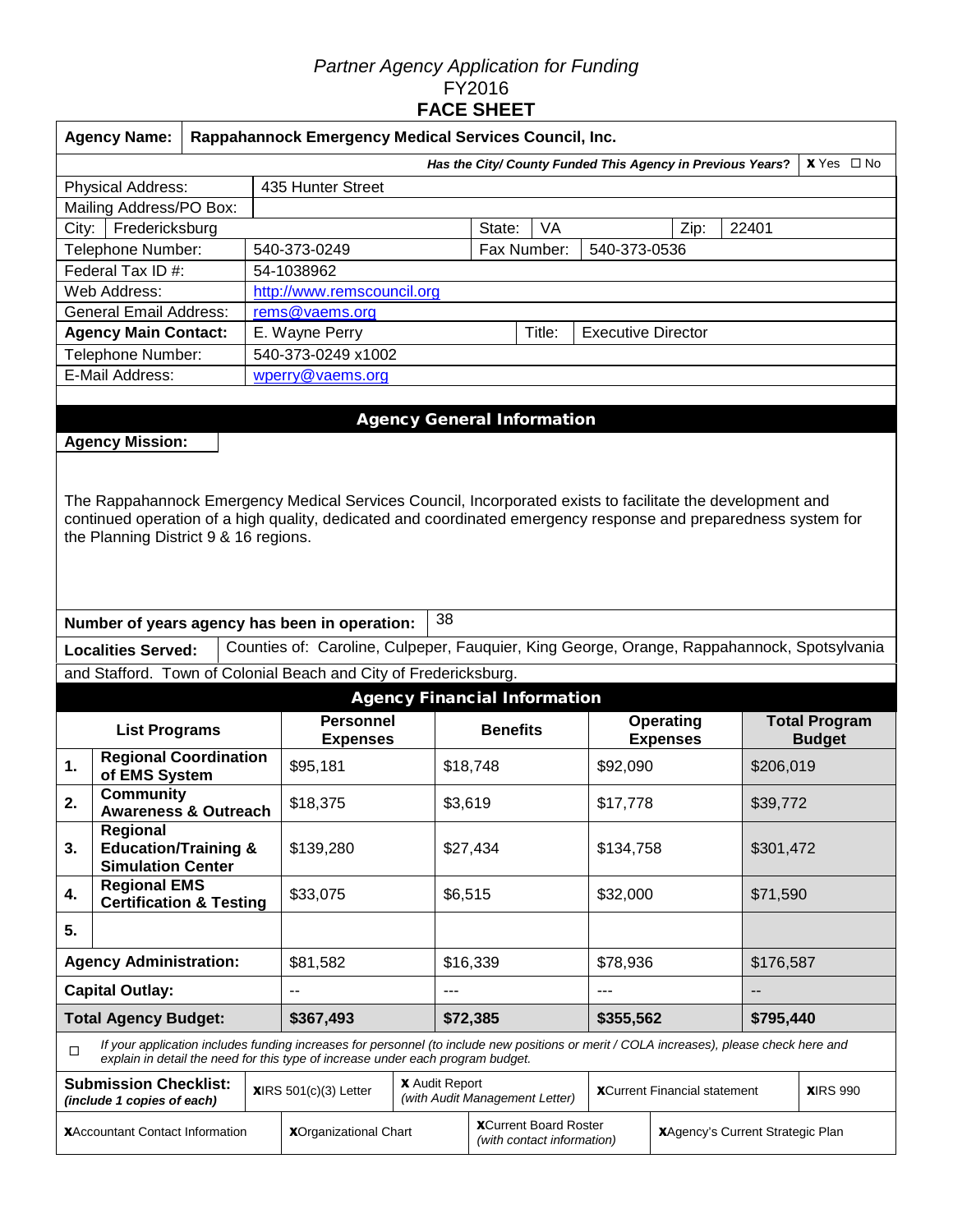## *Partner Agency Application for Funding*  FY2016 **FACE SHEET**

|                                                                                                                                                                                                                                                                        | <b>Agency Name:</b>                                         |  |  | Rappahannock Emergency Medical Services Council, Inc.                                                                                                                                                                       |                                     |                                                            |        |                           |                                     |                                  |                      |  |  |
|------------------------------------------------------------------------------------------------------------------------------------------------------------------------------------------------------------------------------------------------------------------------|-------------------------------------------------------------|--|--|-----------------------------------------------------------------------------------------------------------------------------------------------------------------------------------------------------------------------------|-------------------------------------|------------------------------------------------------------|--------|---------------------------|-------------------------------------|----------------------------------|----------------------|--|--|
|                                                                                                                                                                                                                                                                        | Has the City/ County Funded This Agency in Previous Years?  |  |  |                                                                                                                                                                                                                             |                                     |                                                            |        |                           |                                     |                                  | $X$ Yes $\Box$ No    |  |  |
|                                                                                                                                                                                                                                                                        | Physical Address:                                           |  |  | 435 Hunter Street                                                                                                                                                                                                           |                                     |                                                            |        |                           |                                     |                                  |                      |  |  |
|                                                                                                                                                                                                                                                                        | Mailing Address/PO Box:                                     |  |  |                                                                                                                                                                                                                             |                                     |                                                            |        |                           |                                     |                                  |                      |  |  |
| City:                                                                                                                                                                                                                                                                  | Fredericksburg                                              |  |  |                                                                                                                                                                                                                             |                                     | State:                                                     | VA     |                           | Zip:                                | 22401                            |                      |  |  |
|                                                                                                                                                                                                                                                                        | Telephone Number:                                           |  |  | 540-373-0249                                                                                                                                                                                                                |                                     | Fax Number:                                                |        | 540-373-0536              |                                     |                                  |                      |  |  |
|                                                                                                                                                                                                                                                                        | Federal Tax ID #:                                           |  |  | 54-1038962                                                                                                                                                                                                                  |                                     |                                                            |        |                           |                                     |                                  |                      |  |  |
|                                                                                                                                                                                                                                                                        | Web Address:                                                |  |  | http://www.remscouncil.org                                                                                                                                                                                                  |                                     |                                                            |        |                           |                                     |                                  |                      |  |  |
|                                                                                                                                                                                                                                                                        | <b>General Email Address:</b>                               |  |  | rems@vaems.org                                                                                                                                                                                                              |                                     |                                                            |        |                           |                                     |                                  |                      |  |  |
|                                                                                                                                                                                                                                                                        | <b>Agency Main Contact:</b>                                 |  |  | E. Wayne Perry                                                                                                                                                                                                              |                                     |                                                            | Title: | <b>Executive Director</b> |                                     |                                  |                      |  |  |
|                                                                                                                                                                                                                                                                        | Telephone Number:<br>E-Mail Address:                        |  |  | 540-373-0249 x1002                                                                                                                                                                                                          |                                     |                                                            |        |                           |                                     |                                  |                      |  |  |
|                                                                                                                                                                                                                                                                        |                                                             |  |  | wperry@vaems.org                                                                                                                                                                                                            |                                     |                                                            |        |                           |                                     |                                  |                      |  |  |
|                                                                                                                                                                                                                                                                        |                                                             |  |  |                                                                                                                                                                                                                             | <b>Agency General Information</b>   |                                                            |        |                           |                                     |                                  |                      |  |  |
|                                                                                                                                                                                                                                                                        | <b>Agency Mission:</b>                                      |  |  |                                                                                                                                                                                                                             |                                     |                                                            |        |                           |                                     |                                  |                      |  |  |
| The Rappahannock Emergency Medical Services Council, Incorporated exists to facilitate the development and<br>continued operation of a high quality, dedicated and coordinated emergency response and preparedness system for<br>the Planning District 9 & 16 regions. |                                                             |  |  |                                                                                                                                                                                                                             |                                     |                                                            |        |                           |                                     |                                  |                      |  |  |
|                                                                                                                                                                                                                                                                        |                                                             |  |  | Number of years agency has been in operation:                                                                                                                                                                               | 38                                  |                                                            |        |                           |                                     |                                  |                      |  |  |
|                                                                                                                                                                                                                                                                        | <b>Localities Served:</b>                                   |  |  | Counties of: Caroline, Culpeper, Fauquier, King George, Orange, Rappahannock, Spotsylvania                                                                                                                                  |                                     |                                                            |        |                           |                                     |                                  |                      |  |  |
|                                                                                                                                                                                                                                                                        |                                                             |  |  | and Stafford. Town of Colonial Beach and City of Fredericksburg.                                                                                                                                                            |                                     |                                                            |        |                           |                                     |                                  |                      |  |  |
|                                                                                                                                                                                                                                                                        |                                                             |  |  |                                                                                                                                                                                                                             | <b>Agency Financial Information</b> |                                                            |        |                           |                                     |                                  |                      |  |  |
|                                                                                                                                                                                                                                                                        | <b>List Programs</b>                                        |  |  | <b>Personnel</b>                                                                                                                                                                                                            |                                     |                                                            |        |                           | <b>Operating</b>                    |                                  | <b>Total Program</b> |  |  |
|                                                                                                                                                                                                                                                                        |                                                             |  |  | <b>Expenses</b>                                                                                                                                                                                                             |                                     | <b>Benefits</b>                                            |        |                           | <b>Expenses</b>                     |                                  | <b>Budget</b>        |  |  |
| 1.                                                                                                                                                                                                                                                                     | <b>Regional Coordination</b><br>of EMS System               |  |  | \$95,181                                                                                                                                                                                                                    |                                     | \$18,748                                                   |        |                           | \$92,090                            |                                  | \$206,019            |  |  |
| 2.                                                                                                                                                                                                                                                                     | <b>Community</b>                                            |  |  | \$18,375                                                                                                                                                                                                                    |                                     | \$3,619                                                    |        |                           | \$17,778                            |                                  | \$39,772             |  |  |
|                                                                                                                                                                                                                                                                        | <b>Awareness &amp; Outreach</b><br>Regional                 |  |  |                                                                                                                                                                                                                             |                                     |                                                            |        |                           |                                     |                                  |                      |  |  |
| 3.                                                                                                                                                                                                                                                                     | <b>Education/Training &amp;</b><br><b>Simulation Center</b> |  |  | \$139,280                                                                                                                                                                                                                   |                                     | \$27,434                                                   |        |                           | \$134,758                           |                                  | \$301,472            |  |  |
| 4.                                                                                                                                                                                                                                                                     | <b>Regional EMS</b><br><b>Certification &amp; Testing</b>   |  |  | \$33,075                                                                                                                                                                                                                    |                                     | \$6,515                                                    |        | \$32,000                  |                                     | \$71,590                         |                      |  |  |
| 5.                                                                                                                                                                                                                                                                     |                                                             |  |  |                                                                                                                                                                                                                             |                                     |                                                            |        |                           |                                     |                                  |                      |  |  |
|                                                                                                                                                                                                                                                                        | <b>Agency Administration:</b>                               |  |  | \$81,582                                                                                                                                                                                                                    |                                     | \$16,339                                                   |        | \$78,936                  |                                     | \$176,587                        |                      |  |  |
|                                                                                                                                                                                                                                                                        | <b>Capital Outlay:</b>                                      |  |  | $-$                                                                                                                                                                                                                         | $--$                                |                                                            |        | ---                       |                                     | --                               |                      |  |  |
|                                                                                                                                                                                                                                                                        | <b>Total Agency Budget:</b>                                 |  |  | \$367,493                                                                                                                                                                                                                   |                                     | \$72,385                                                   |        | \$355,562                 |                                     | \$795,440                        |                      |  |  |
| □                                                                                                                                                                                                                                                                      |                                                             |  |  | If your application includes funding increases for personnel (to include new positions or merit / COLA increases), please check here and<br>explain in detail the need for this type of increase under each program budget. |                                     |                                                            |        |                           |                                     |                                  |                      |  |  |
|                                                                                                                                                                                                                                                                        | <b>Submission Checklist:</b><br>(include 1 copies of each)  |  |  | $XIRS 501(c)(3)$ Letter                                                                                                                                                                                                     | <b>X</b> Audit Report               | (with Audit Management Letter)                             |        |                           | <b>XCurrent Financial statement</b> |                                  | <b>XIRS 990</b>      |  |  |
| <b>XAccountant Contact Information</b>                                                                                                                                                                                                                                 |                                                             |  |  | <b>XOrganizational Chart</b>                                                                                                                                                                                                |                                     | <b>XCurrent Board Roster</b><br>(with contact information) |        |                           |                                     | XAgency's Current Strategic Plan |                      |  |  |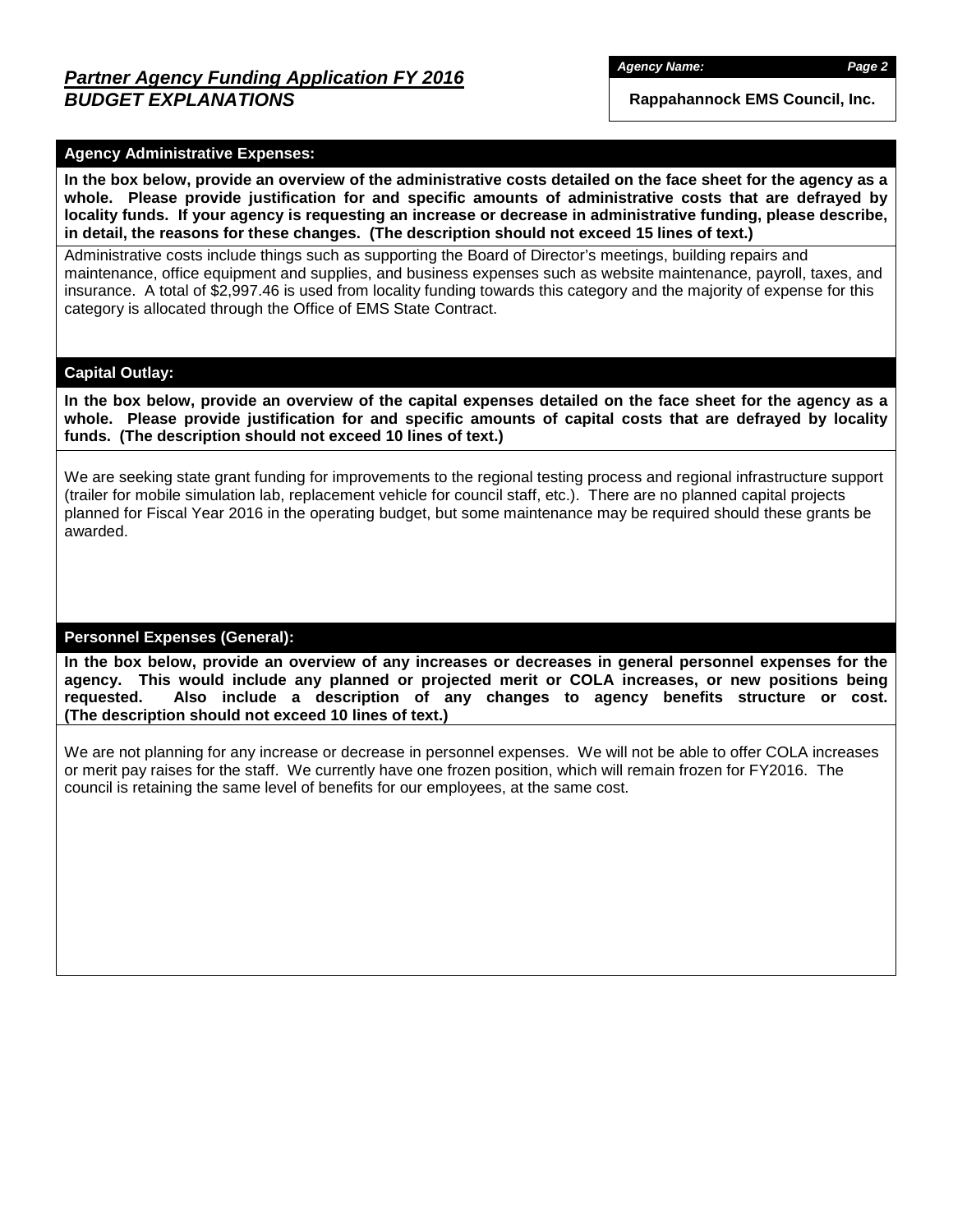*Agency Name: Page 2*

**Rappahannock EMS Council, Inc.**

## **Agency Administrative Expenses:**

**In the box below, provide an overview of the administrative costs detailed on the face sheet for the agency as a whole. Please provide justification for and specific amounts of administrative costs that are defrayed by locality funds. If your agency is requesting an increase or decrease in administrative funding, please describe, in detail, the reasons for these changes. (The description should not exceed 15 lines of text.)**

Administrative costs include things such as supporting the Board of Director's meetings, building repairs and maintenance, office equipment and supplies, and business expenses such as website maintenance, payroll, taxes, and insurance. A total of \$2,997.46 is used from locality funding towards this category and the majority of expense for this category is allocated through the Office of EMS State Contract.

### **Capital Outlay:**

**In the box below, provide an overview of the capital expenses detailed on the face sheet for the agency as a whole. Please provide justification for and specific amounts of capital costs that are defrayed by locality funds. (The description should not exceed 10 lines of text.)**

We are seeking state grant funding for improvements to the regional testing process and regional infrastructure support (trailer for mobile simulation lab, replacement vehicle for council staff, etc.). There are no planned capital projects planned for Fiscal Year 2016 in the operating budget, but some maintenance may be required should these grants be awarded.

### **Personnel Expenses (General):**

**In the box below, provide an overview of any increases or decreases in general personnel expenses for the agency. This would include any planned or projected merit or COLA increases, or new positions being requested. Also include a description of any changes to agency benefits structure or cost. (The description should not exceed 10 lines of text.)**

We are not planning for any increase or decrease in personnel expenses. We will not be able to offer COLA increases or merit pay raises for the staff. We currently have one frozen position, which will remain frozen for FY2016. The council is retaining the same level of benefits for our employees, at the same cost.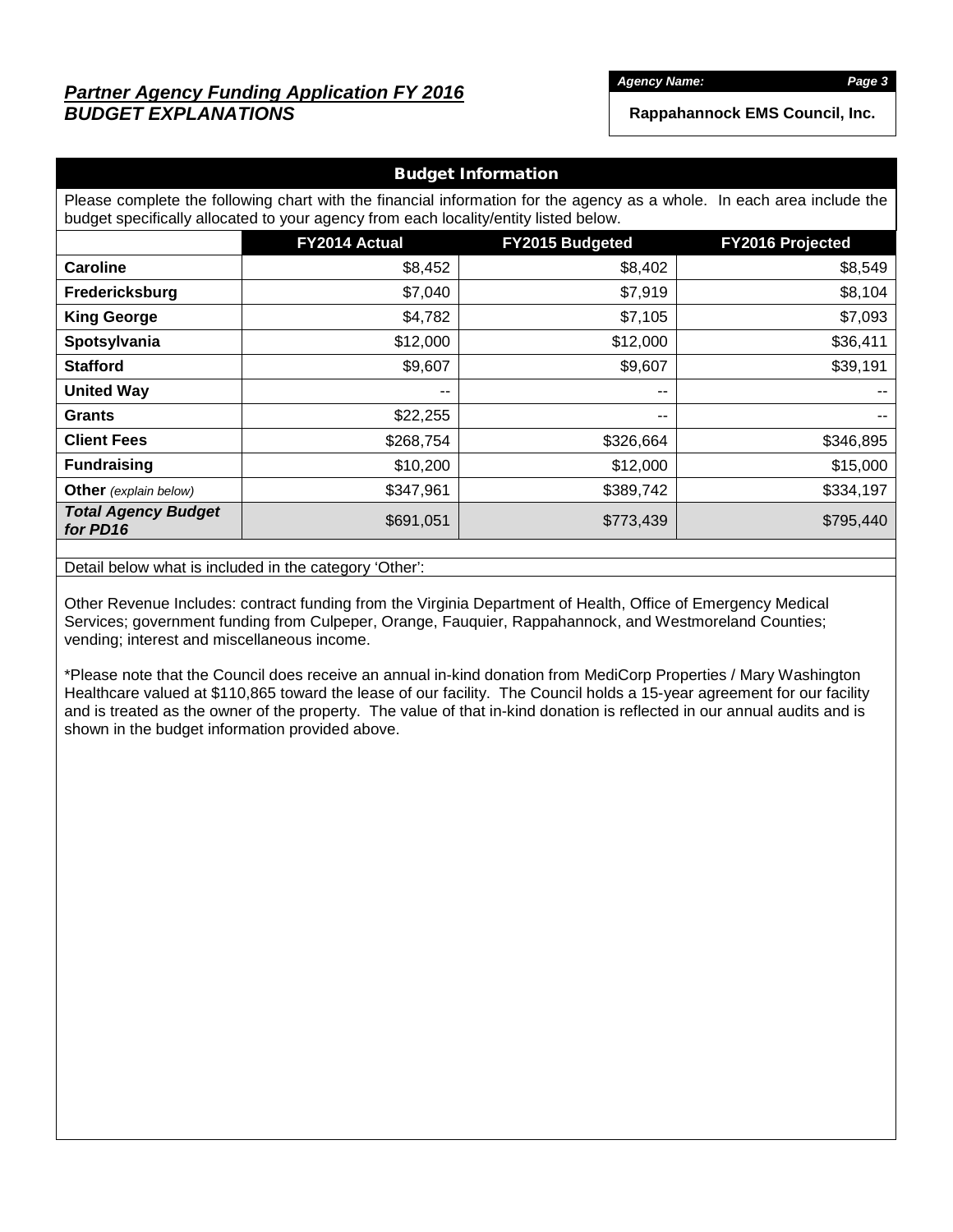# *Partner Agency Funding Application FY 2016 BUDGET EXPLANATIONS*

*Agency Name: Page 3*

**Rappahannock EMS Council, Inc.**

| <b>Budget Information</b>                                                                                                                                                                                      |               |                  |           |  |  |  |  |  |  |  |
|----------------------------------------------------------------------------------------------------------------------------------------------------------------------------------------------------------------|---------------|------------------|-----------|--|--|--|--|--|--|--|
| Please complete the following chart with the financial information for the agency as a whole. In each area include the<br>budget specifically allocated to your agency from each locality/entity listed below. |               |                  |           |  |  |  |  |  |  |  |
|                                                                                                                                                                                                                | FY2014 Actual | FY2016 Projected |           |  |  |  |  |  |  |  |
| <b>Caroline</b>                                                                                                                                                                                                | \$8,452       | \$8,402          | \$8,549   |  |  |  |  |  |  |  |
| Fredericksburg                                                                                                                                                                                                 | \$7,040       | \$7,919          | \$8,104   |  |  |  |  |  |  |  |
| <b>King George</b>                                                                                                                                                                                             | \$4,782       | \$7,105          | \$7,093   |  |  |  |  |  |  |  |
| Spotsylvania                                                                                                                                                                                                   | \$12,000      | \$12,000         | \$36,411  |  |  |  |  |  |  |  |
| <b>Stafford</b>                                                                                                                                                                                                | \$9,607       | \$9,607          | \$39,191  |  |  |  |  |  |  |  |
| <b>United Way</b>                                                                                                                                                                                              | $-$           | --               |           |  |  |  |  |  |  |  |
| <b>Grants</b>                                                                                                                                                                                                  | \$22,255      | --               | $- -$     |  |  |  |  |  |  |  |
| <b>Client Fees</b>                                                                                                                                                                                             | \$268,754     | \$326,664        | \$346,895 |  |  |  |  |  |  |  |
| <b>Fundraising</b>                                                                                                                                                                                             | \$10,200      | \$12,000         | \$15,000  |  |  |  |  |  |  |  |
| <b>Other</b> (explain below)                                                                                                                                                                                   | \$347,961     | \$389,742        | \$334,197 |  |  |  |  |  |  |  |
| <b>Total Agency Budget</b><br>for PD16                                                                                                                                                                         | \$691,051     | \$773,439        | \$795,440 |  |  |  |  |  |  |  |

Detail below what is included in the category 'Other':

Other Revenue Includes: contract funding from the Virginia Department of Health, Office of Emergency Medical Services; government funding from Culpeper, Orange, Fauquier, Rappahannock, and Westmoreland Counties; vending; interest and miscellaneous income.

\*Please note that the Council does receive an annual in-kind donation from MediCorp Properties / Mary Washington Healthcare valued at \$110,865 toward the lease of our facility. The Council holds a 15-year agreement for our facility and is treated as the owner of the property. The value of that in-kind donation is reflected in our annual audits and is shown in the budget information provided above.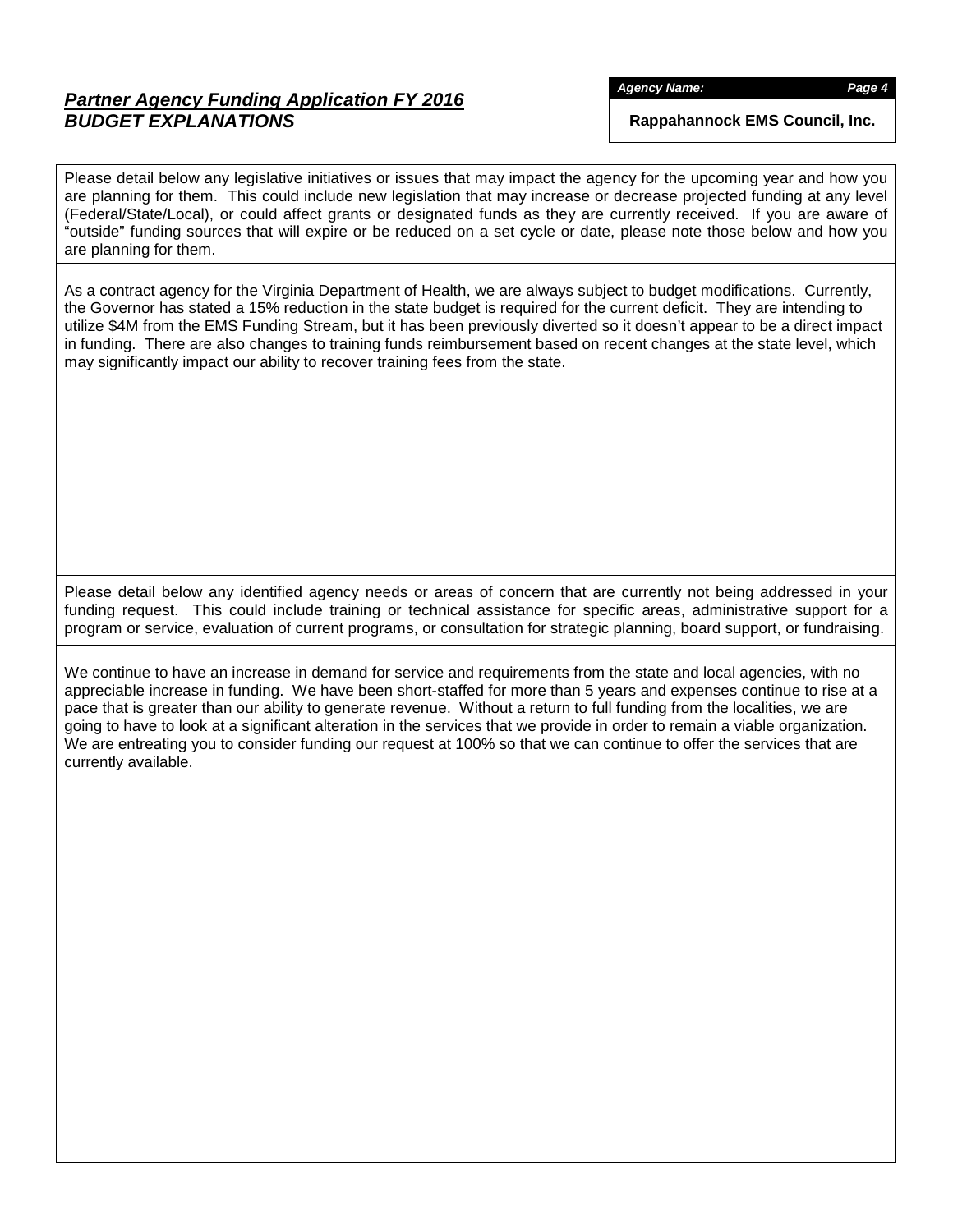# *Partner Agency Funding Application FY 2016 BUDGET EXPLANATIONS*

*Agency Name: Page 4*

**Rappahannock EMS Council, Inc.**

Please detail below any legislative initiatives or issues that may impact the agency for the upcoming year and how you are planning for them. This could include new legislation that may increase or decrease projected funding at any level (Federal/State/Local), or could affect grants or designated funds as they are currently received. If you are aware of "outside" funding sources that will expire or be reduced on a set cycle or date, please note those below and how you are planning for them.

As a contract agency for the Virginia Department of Health, we are always subject to budget modifications. Currently, the Governor has stated a 15% reduction in the state budget is required for the current deficit. They are intending to utilize \$4M from the EMS Funding Stream, but it has been previously diverted so it doesn't appear to be a direct impact in funding. There are also changes to training funds reimbursement based on recent changes at the state level, which may significantly impact our ability to recover training fees from the state.

Please detail below any identified agency needs or areas of concern that are currently not being addressed in your funding request. This could include training or technical assistance for specific areas, administrative support for a program or service, evaluation of current programs, or consultation for strategic planning, board support, or fundraising.

We continue to have an increase in demand for service and requirements from the state and local agencies, with no appreciable increase in funding. We have been short-staffed for more than 5 years and expenses continue to rise at a pace that is greater than our ability to generate revenue. Without a return to full funding from the localities, we are going to have to look at a significant alteration in the services that we provide in order to remain a viable organization. We are entreating you to consider funding our request at 100% so that we can continue to offer the services that are currently available.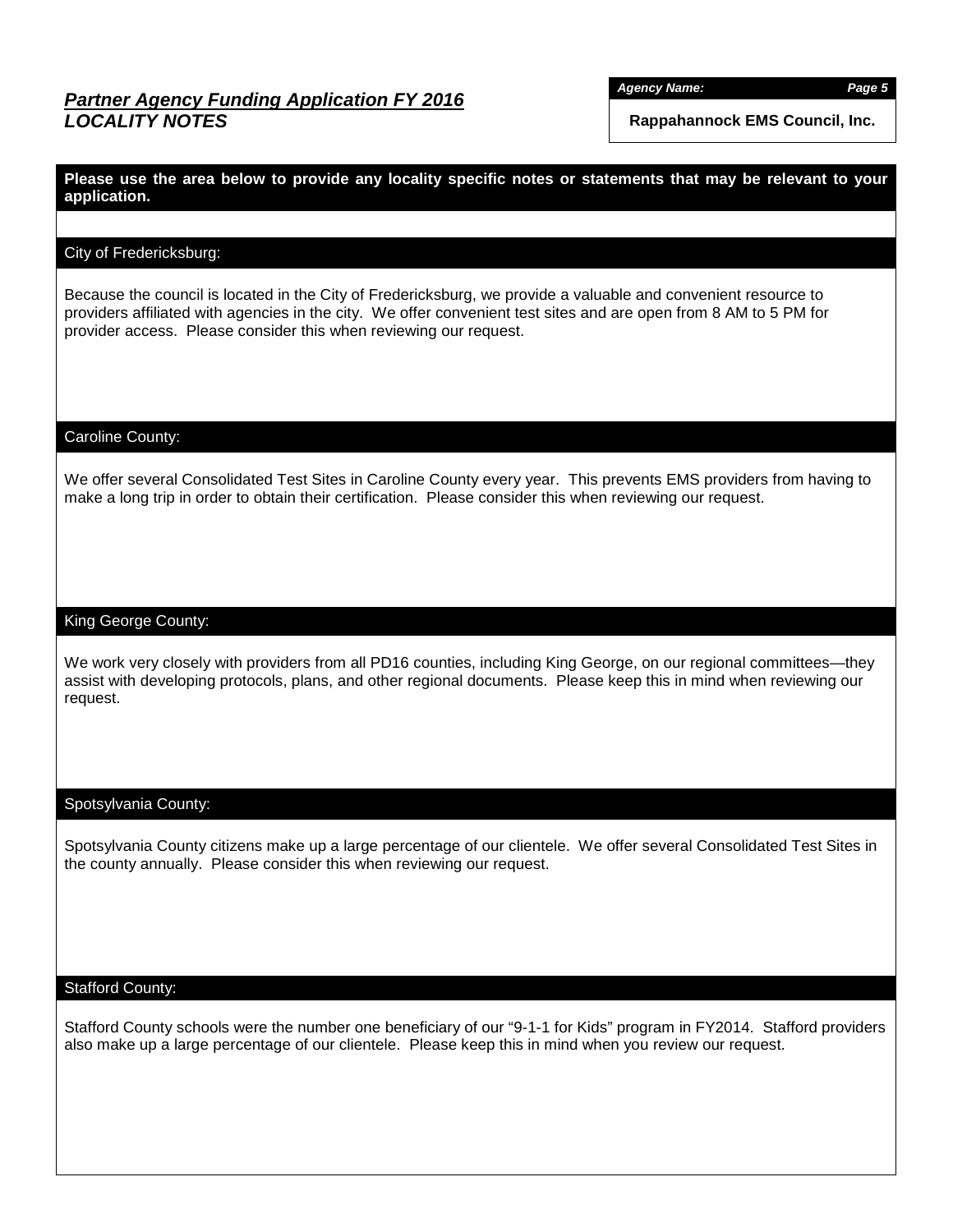# *Partner Agency Funding Application FY 2016 LOCALITY NOTES*

*Agency Name: Page 5*

**Rappahannock EMS Council, Inc.**

**Please use the area below to provide any locality specific notes or statements that may be relevant to your application.**

## City of Fredericksburg:

Because the council is located in the City of Fredericksburg, we provide a valuable and convenient resource to providers affiliated with agencies in the city. We offer convenient test sites and are open from 8 AM to 5 PM for provider access. Please consider this when reviewing our request.

## Caroline County:

We offer several Consolidated Test Sites in Caroline County every year. This prevents EMS providers from having to make a long trip in order to obtain their certification. Please consider this when reviewing our request.

### King George County:

We work very closely with providers from all PD16 counties, including King George, on our regional committees—they assist with developing protocols, plans, and other regional documents. Please keep this in mind when reviewing our request.

### Spotsylvania County:

Spotsylvania County citizens make up a large percentage of our clientele. We offer several Consolidated Test Sites in the county annually. Please consider this when reviewing our request.

#### Stafford County:

Stafford County schools were the number one beneficiary of our "9-1-1 for Kids" program in FY2014. Stafford providers also make up a large percentage of our clientele. Please keep this in mind when you review our request.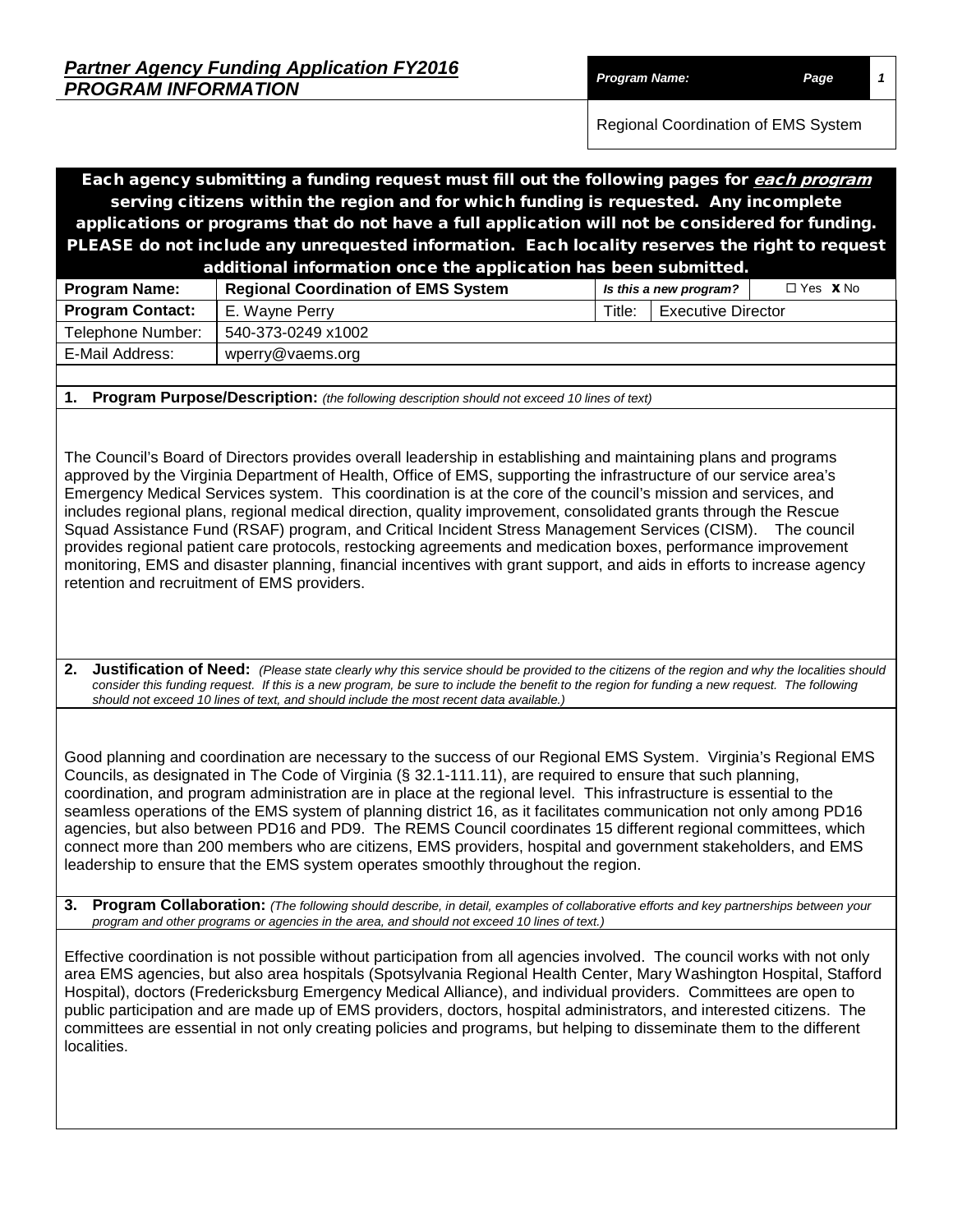| <b>Partner Agency Funding Application FY2016</b> |               |      |
|--------------------------------------------------|---------------|------|
| <b>PROGRAM INFORMATION</b>                       | Program Name: | Page |

Regional Coordination of EMS System

Each agency submitting a funding request must fill out the following pages for each program serving citizens within the region and for which funding is requested. Any incomplete applications or programs that do not have a full application will not be considered for funding. PLEASE do not include any unrequested information. Each locality reserves the right to request additional information once the application has been submitted. **Pogram Coordination of EMS System** 

| <b>Program Name:</b>    | Regional Coordination of EMS System |        | Is this a new program?    | $L$ res XINO |
|-------------------------|-------------------------------------|--------|---------------------------|--------------|
| <b>Program Contact:</b> | E. Wavne Perry                      | Title: | <b>Executive Director</b> |              |
| Telephone Number:       | 540-373-0249 x1002                  |        |                           |              |
| E-Mail Address:         | wperry@vaems.org                    |        |                           |              |
|                         |                                     |        |                           |              |

**1. Program Purpose/Description:** *(the following description should not exceed 10 lines of text)*

The Council's Board of Directors provides overall leadership in establishing and maintaining plans and programs approved by the Virginia Department of Health, Office of EMS, supporting the infrastructure of our service area's Emergency Medical Services system. This coordination is at the core of the council's mission and services, and includes regional plans, regional medical direction, quality improvement, consolidated grants through the Rescue Squad Assistance Fund (RSAF) program, and Critical Incident Stress Management Services (CISM). The council provides regional patient care protocols, restocking agreements and medication boxes, performance improvement monitoring, EMS and disaster planning, financial incentives with grant support, and aids in efforts to increase agency retention and recruitment of EMS providers.

**2.** Justification of Need: (Please state clearly why this service should be provided to the citizens of the region and why the localities should *consider this funding request. If this is a new program, be sure to include the benefit to the region for funding a new request. The following should not exceed 10 lines of text, and should include the most recent data available.)*

Good planning and coordination are necessary to the success of our Regional EMS System. Virginia's Regional EMS Councils, as designated in The Code of Virginia (§ 32.1-111.11), are required to ensure that such planning, coordination, and program administration are in place at the regional level. This infrastructure is essential to the seamless operations of the EMS system of planning district 16, as it facilitates communication not only among PD16 agencies, but also between PD16 and PD9. The REMS Council coordinates 15 different regional committees, which connect more than 200 members who are citizens, EMS providers, hospital and government stakeholders, and EMS leadership to ensure that the EMS system operates smoothly throughout the region.

**3. Program Collaboration:** *(The following should describe, in detail, examples of collaborative efforts and key partnerships between your program and other programs or agencies in the area, and should not exceed 10 lines of text.)*

Effective coordination is not possible without participation from all agencies involved. The council works with not only area EMS agencies, but also area hospitals (Spotsylvania Regional Health Center, Mary Washington Hospital, Stafford Hospital), doctors (Fredericksburg Emergency Medical Alliance), and individual providers. Committees are open to public participation and are made up of EMS providers, doctors, hospital administrators, and interested citizens. The committees are essential in not only creating policies and programs, but helping to disseminate them to the different localities.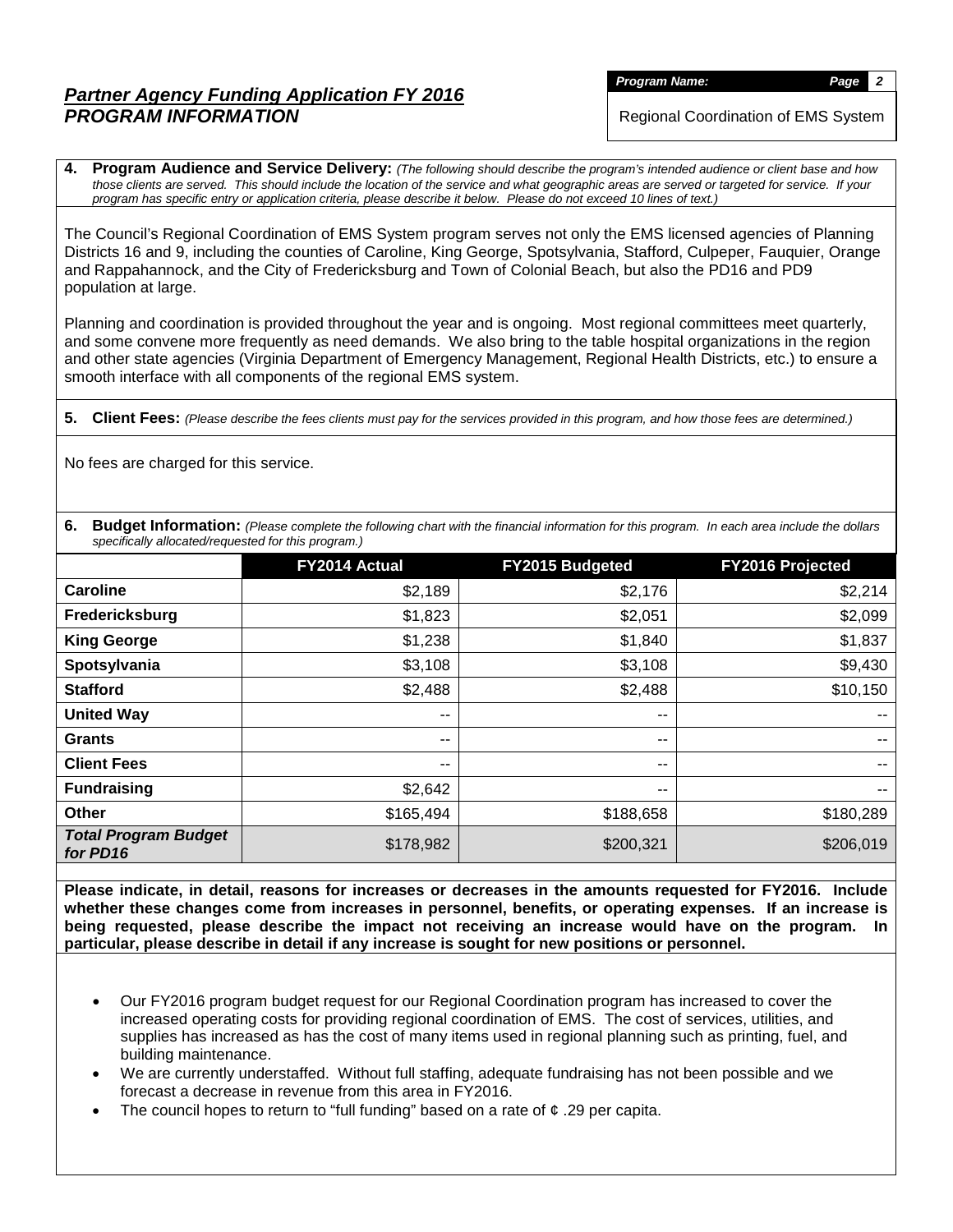*Program Name: Page 2*

Regional Coordination of EMS System

**4. Program Audience and Service Delivery:** *(The following should describe the program's intended audience or client base and how those clients are served. This should include the location of the service and what geographic areas are served or targeted for service. If your program has specific entry or application criteria, please describe it below. Please do not exceed 10 lines of text.)*

The Council's Regional Coordination of EMS System program serves not only the EMS licensed agencies of Planning Districts 16 and 9, including the counties of Caroline, King George, Spotsylvania, Stafford, Culpeper, Fauquier, Orange and Rappahannock, and the City of Fredericksburg and Town of Colonial Beach, but also the PD16 and PD9 population at large.

Planning and coordination is provided throughout the year and is ongoing. Most regional committees meet quarterly, and some convene more frequently as need demands. We also bring to the table hospital organizations in the region and other state agencies (Virginia Department of Emergency Management, Regional Health Districts, etc.) to ensure a smooth interface with all components of the regional EMS system.

**5. Client Fees:** *(Please describe the fees clients must pay for the services provided in this program, and how those fees are determined.)*

No fees are charged for this service.

**6. Budget Information:** *(Please complete the following chart with the financial information for this program. In each area include the dollars specifically allocated/requested for this program.)*

|                                         | FY2014 Actual            | FY2015 Budgeted | <b>FY2016 Projected</b>  |
|-----------------------------------------|--------------------------|-----------------|--------------------------|
| <b>Caroline</b>                         | \$2,189                  | \$2,176         | \$2,214                  |
| Fredericksburg                          | \$1,823                  | \$2,051         | \$2,099                  |
| <b>King George</b>                      | \$1,238                  | \$1,840         | \$1,837                  |
| Spotsylvania                            | \$3,108                  | \$3,108         | \$9,430                  |
| <b>Stafford</b>                         | \$2,488                  | \$2,488         | \$10,150                 |
| <b>United Way</b>                       | $\overline{\phantom{a}}$ | --              | $- -$                    |
| <b>Grants</b>                           | $- -$                    | --              | $- -$                    |
| <b>Client Fees</b>                      | $- -$                    | --              | $- -$                    |
| <b>Fundraising</b>                      | \$2,642                  | --              | $\overline{\phantom{a}}$ |
| <b>Other</b>                            | \$165,494                | \$188,658       | \$180,289                |
| <b>Total Program Budget</b><br>for PD16 | \$178,982                | \$200,321       | \$206,019                |

**Please indicate, in detail, reasons for increases or decreases in the amounts requested for FY2016. Include whether these changes come from increases in personnel, benefits, or operating expenses. If an increase is being requested, please describe the impact not receiving an increase would have on the program. In particular, please describe in detail if any increase is sought for new positions or personnel.**

- Our FY2016 program budget request for our Regional Coordination program has increased to cover the increased operating costs for providing regional coordination of EMS. The cost of services, utilities, and supplies has increased as has the cost of many items used in regional planning such as printing, fuel, and building maintenance.
- We are currently understaffed. Without full staffing, adequate fundraising has not been possible and we forecast a decrease in revenue from this area in FY2016.
- The council hopes to return to "full funding" based on a rate of  $\phi$  .29 per capita.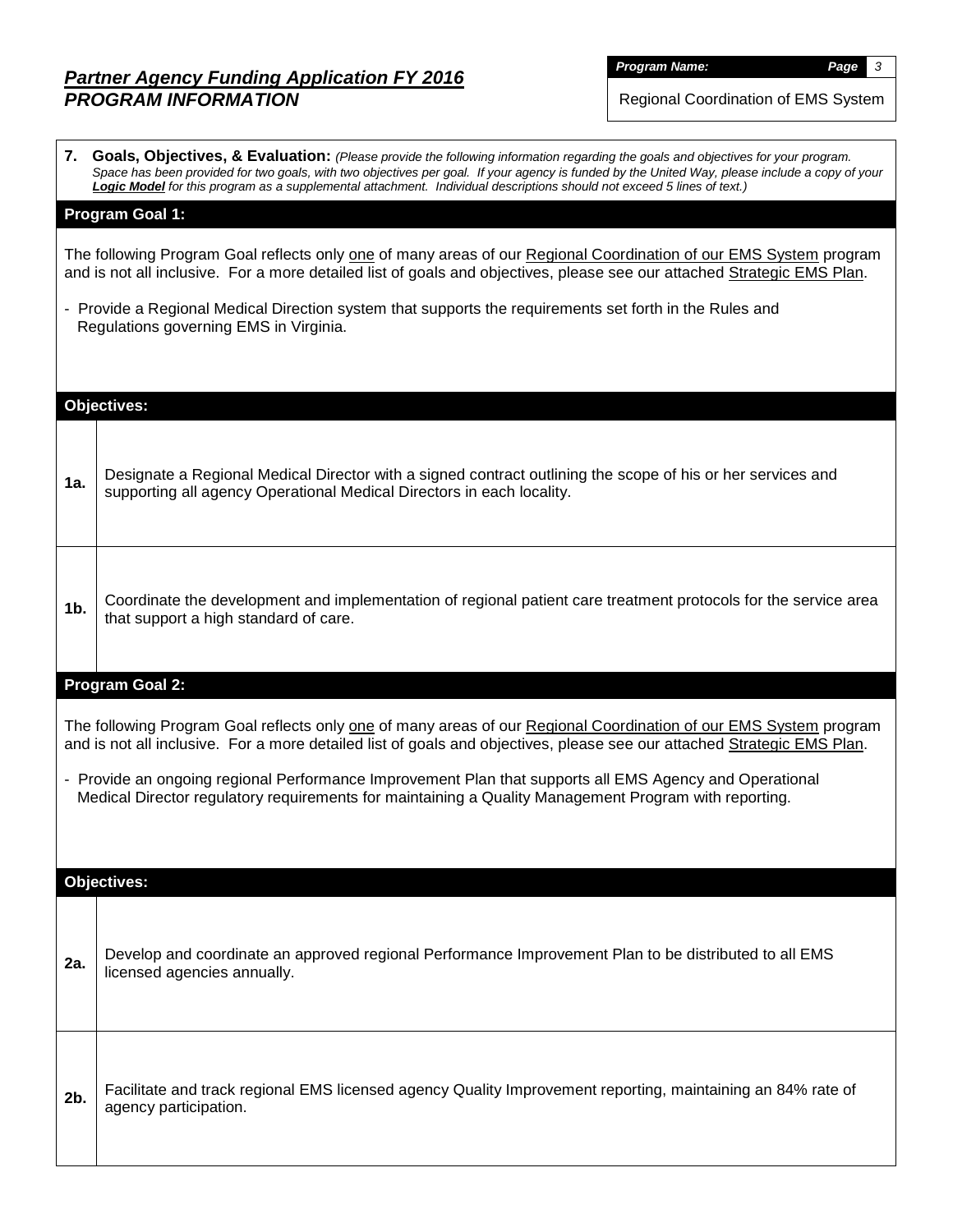*Program Name: Page 3*

Regional Coordination of EMS System

|                | 7. Goals, Objectives, & Evaluation: (Please provide the following information regarding the goals and objectives for your program.<br>Space has been provided for two goals, with two objectives per goal. If your agency is funded by the United Way, please include a copy of your<br>Logic Model for this program as a supplemental attachment. Individual descriptions should not exceed 5 lines of text.) |
|----------------|----------------------------------------------------------------------------------------------------------------------------------------------------------------------------------------------------------------------------------------------------------------------------------------------------------------------------------------------------------------------------------------------------------------|
|                | Program Goal 1:                                                                                                                                                                                                                                                                                                                                                                                                |
|                | The following Program Goal reflects only one of many areas of our Regional Coordination of our EMS System program<br>and is not all inclusive. For a more detailed list of goals and objectives, please see our attached Strategic EMS Plan.                                                                                                                                                                   |
|                | - Provide a Regional Medical Direction system that supports the requirements set forth in the Rules and<br>Regulations governing EMS in Virginia.                                                                                                                                                                                                                                                              |
|                |                                                                                                                                                                                                                                                                                                                                                                                                                |
|                | <b>Objectives:</b>                                                                                                                                                                                                                                                                                                                                                                                             |
|                |                                                                                                                                                                                                                                                                                                                                                                                                                |
| 1a.            | Designate a Regional Medical Director with a signed contract outlining the scope of his or her services and<br>supporting all agency Operational Medical Directors in each locality.                                                                                                                                                                                                                           |
|                |                                                                                                                                                                                                                                                                                                                                                                                                                |
| 1 <sub>b</sub> | Coordinate the development and implementation of regional patient care treatment protocols for the service area<br>that support a high standard of care.                                                                                                                                                                                                                                                       |
|                | <b>Program Goal 2:</b>                                                                                                                                                                                                                                                                                                                                                                                         |
|                | The following Program Goal reflects only one of many areas of our Regional Coordination of our EMS System program<br>and is not all inclusive. For a more detailed list of goals and objectives, please see our attached Strategic EMS Plan.                                                                                                                                                                   |
|                | - Provide an ongoing regional Performance Improvement Plan that supports all EMS Agency and Operational<br>Medical Director regulatory requirements for maintaining a Quality Management Program with reporting.                                                                                                                                                                                               |
|                |                                                                                                                                                                                                                                                                                                                                                                                                                |
|                | <b>Objectives:</b>                                                                                                                                                                                                                                                                                                                                                                                             |
|                |                                                                                                                                                                                                                                                                                                                                                                                                                |
| 2a.            | Develop and coordinate an approved regional Performance Improvement Plan to be distributed to all EMS<br>licensed agencies annually.                                                                                                                                                                                                                                                                           |
|                |                                                                                                                                                                                                                                                                                                                                                                                                                |
|                |                                                                                                                                                                                                                                                                                                                                                                                                                |
| 2b.            | Facilitate and track regional EMS licensed agency Quality Improvement reporting, maintaining an 84% rate of<br>agency participation.                                                                                                                                                                                                                                                                           |
|                |                                                                                                                                                                                                                                                                                                                                                                                                                |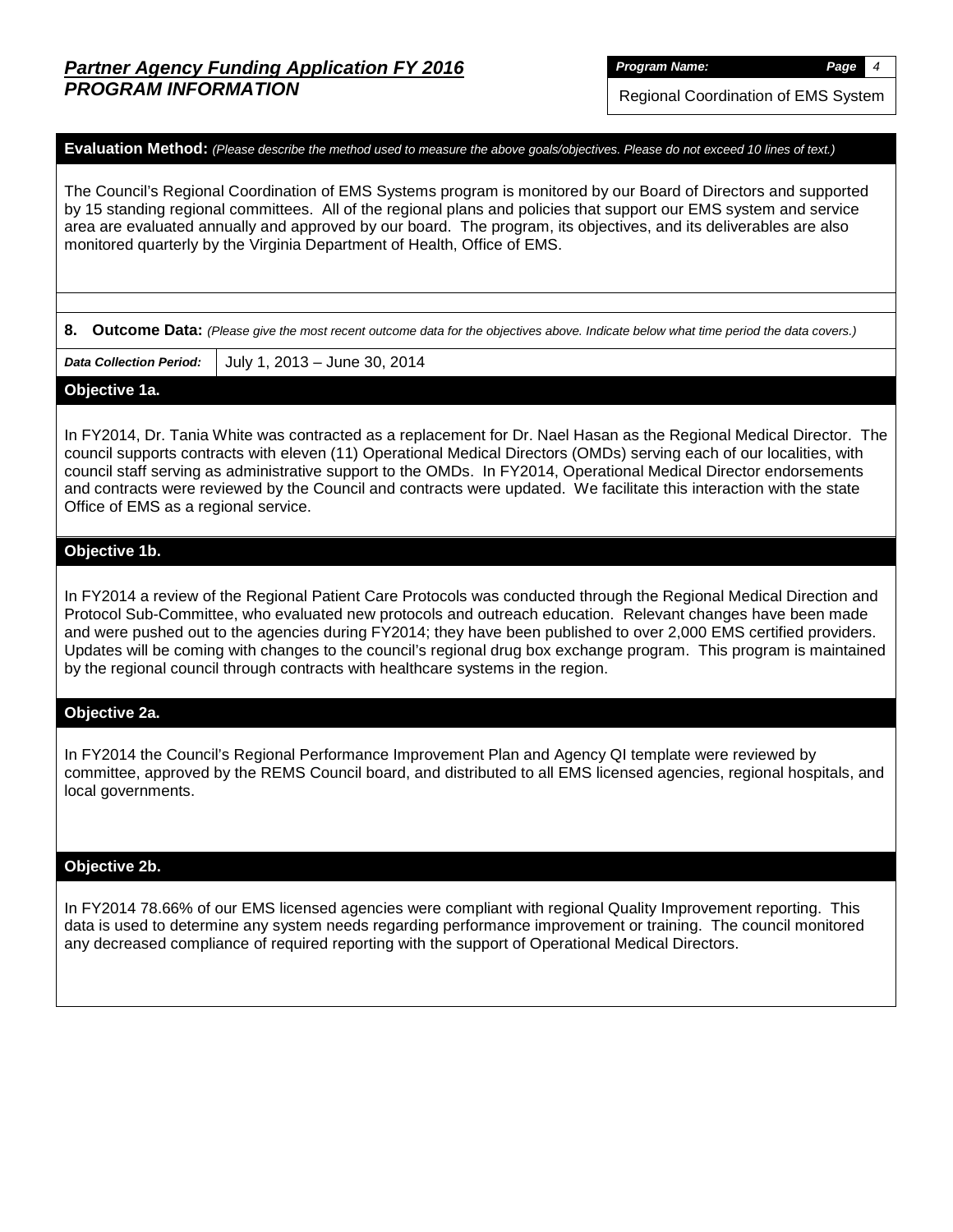Regional Coordination of EMS System

#### **Evaluation Method:** *(Please describe the method used to measure the above goals/objectives. Please do not exceed 10 lines of text.)*

The Council's Regional Coordination of EMS Systems program is monitored by our Board of Directors and supported by 15 standing regional committees. All of the regional plans and policies that support our EMS system and service area are evaluated annually and approved by our board. The program, its objectives, and its deliverables are also monitored quarterly by the Virginia Department of Health, Office of EMS.

**8. Outcome Data:** *(Please give the most recent outcome data for the objectives above. Indicate below what time period the data covers.)*

*Data Collection Period:* July 1, 2013 – June 30, 2014

#### **Objective 1a.**

In FY2014, Dr. Tania White was contracted as a replacement for Dr. Nael Hasan as the Regional Medical Director. The council supports contracts with eleven (11) Operational Medical Directors (OMDs) serving each of our localities, with council staff serving as administrative support to the OMDs. In FY2014, Operational Medical Director endorsements and contracts were reviewed by the Council and contracts were updated. We facilitate this interaction with the state Office of EMS as a regional service.

### **Objective 1b.**

In FY2014 a review of the Regional Patient Care Protocols was conducted through the Regional Medical Direction and Protocol Sub-Committee, who evaluated new protocols and outreach education. Relevant changes have been made and were pushed out to the agencies during FY2014; they have been published to over 2,000 EMS certified providers. Updates will be coming with changes to the council's regional drug box exchange program. This program is maintained by the regional council through contracts with healthcare systems in the region.

### **Objective 2a.**

In FY2014 the Council's Regional Performance Improvement Plan and Agency QI template were reviewed by committee, approved by the REMS Council board, and distributed to all EMS licensed agencies, regional hospitals, and local governments.

### **Objective 2b.**

In FY2014 78.66% of our EMS licensed agencies were compliant with regional Quality Improvement reporting. This data is used to determine any system needs regarding performance improvement or training. The council monitored any decreased compliance of required reporting with the support of Operational Medical Directors.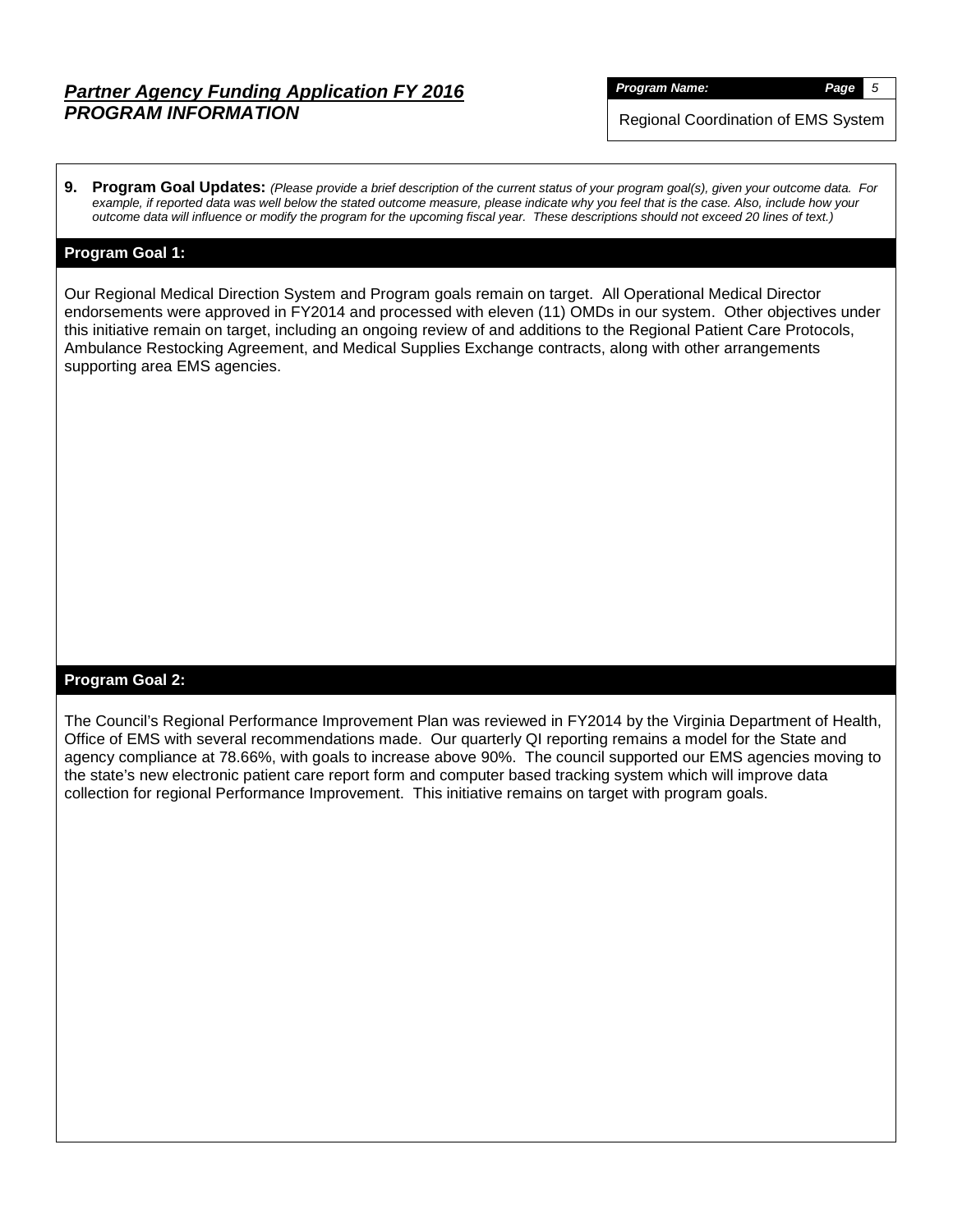*Program Name: Page 5*

Regional Coordination of EMS System

**9. Program Goal Updates:** *(Please provide a brief description of the current status of your program goal(s), given your outcome data. For example, if reported data was well below the stated outcome measure, please indicate why you feel that is the case. Also, include how your outcome data will influence or modify the program for the upcoming fiscal year. These descriptions should not exceed 20 lines of text.)*

## **Program Goal 1:**

Our Regional Medical Direction System and Program goals remain on target. All Operational Medical Director endorsements were approved in FY2014 and processed with eleven (11) OMDs in our system. Other objectives under this initiative remain on target, including an ongoing review of and additions to the Regional Patient Care Protocols, Ambulance Restocking Agreement, and Medical Supplies Exchange contracts, along with other arrangements supporting area EMS agencies.

## **Program Goal 2:**

The Council's Regional Performance Improvement Plan was reviewed in FY2014 by the Virginia Department of Health, Office of EMS with several recommendations made. Our quarterly QI reporting remains a model for the State and agency compliance at 78.66%, with goals to increase above 90%. The council supported our EMS agencies moving to the state's new electronic patient care report form and computer based tracking system which will improve data collection for regional Performance Improvement. This initiative remains on target with program goals.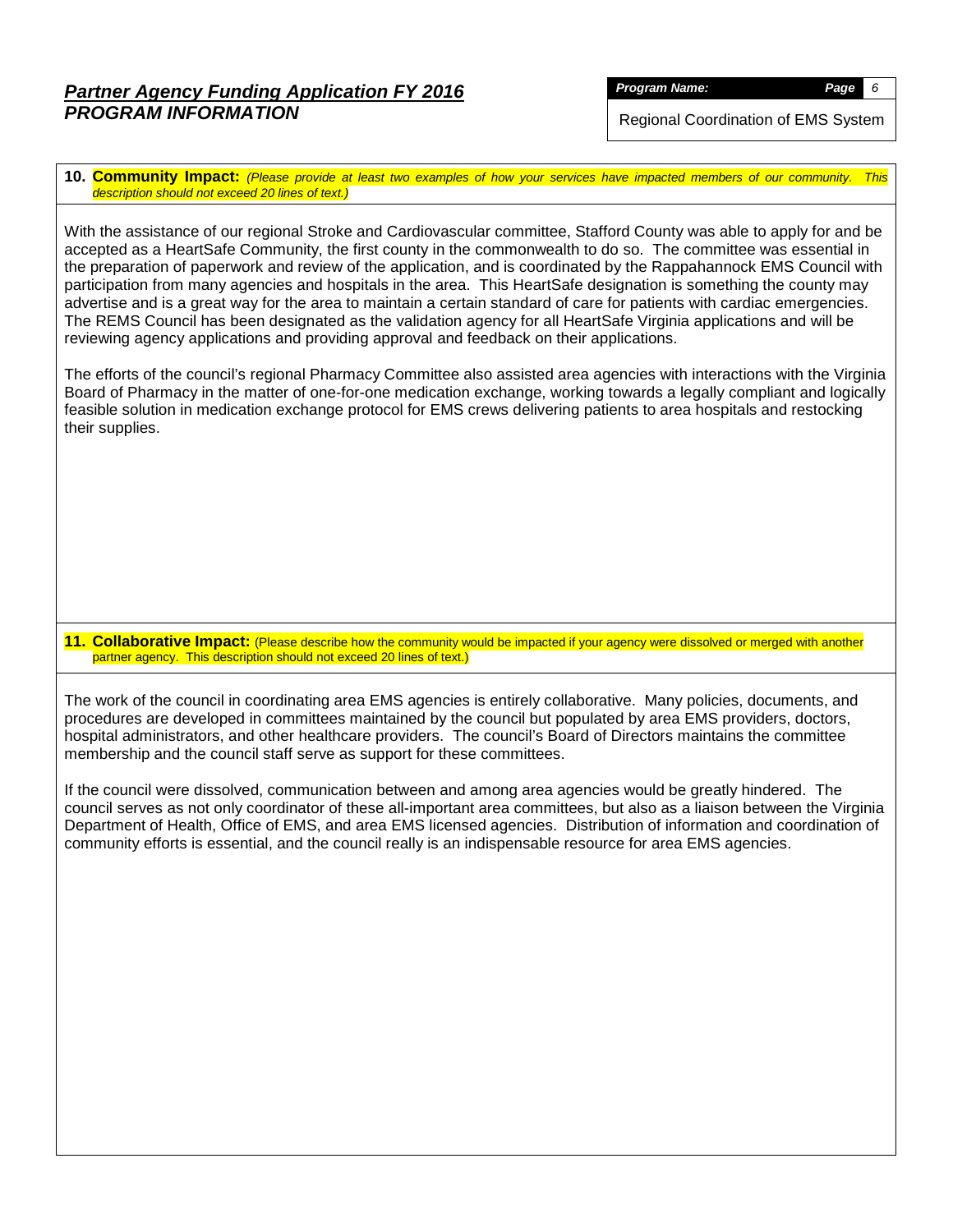*Program Name: Page 6*

Regional Coordination of EMS System

**10. Community Impact:** *(Please provide at least two examples of how your services have impacted members of our community. This description should not exceed 20 lines of text.)*

With the assistance of our regional Stroke and Cardiovascular committee, Stafford County was able to apply for and be accepted as a HeartSafe Community, the first county in the commonwealth to do so. The committee was essential in the preparation of paperwork and review of the application, and is coordinated by the Rappahannock EMS Council with participation from many agencies and hospitals in the area. This HeartSafe designation is something the county may advertise and is a great way for the area to maintain a certain standard of care for patients with cardiac emergencies. The REMS Council has been designated as the validation agency for all HeartSafe Virginia applications and will be reviewing agency applications and providing approval and feedback on their applications.

The efforts of the council's regional Pharmacy Committee also assisted area agencies with interactions with the Virginia Board of Pharmacy in the matter of one-for-one medication exchange, working towards a legally compliant and logically feasible solution in medication exchange protocol for EMS crews delivering patients to area hospitals and restocking their supplies.

**11. Collaborative Impact:** (Please describe how the community would be impacted if your agency were dissolved or merged with another partner agency. This description should not exceed 20 lines of text.)

The work of the council in coordinating area EMS agencies is entirely collaborative. Many policies, documents, and procedures are developed in committees maintained by the council but populated by area EMS providers, doctors, hospital administrators, and other healthcare providers. The council's Board of Directors maintains the committee membership and the council staff serve as support for these committees.

If the council were dissolved, communication between and among area agencies would be greatly hindered. The council serves as not only coordinator of these all-important area committees, but also as a liaison between the Virginia Department of Health, Office of EMS, and area EMS licensed agencies. Distribution of information and coordination of community efforts is essential, and the council really is an indispensable resource for area EMS agencies.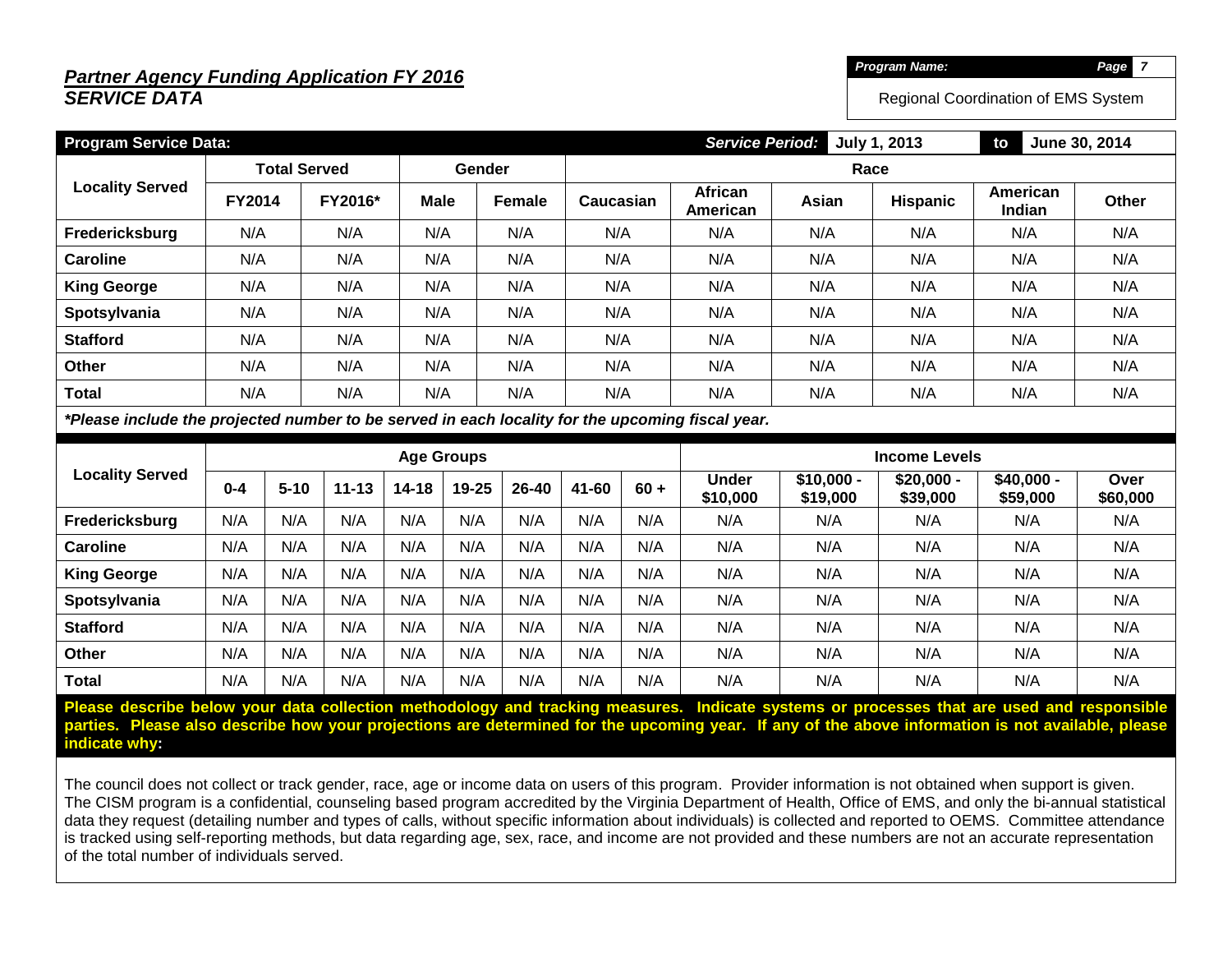# *Partner Agency Funding Application FY 2016 SERVICE DATA*

*Program Name: Page 7*

Regional Coordination of EMS System

| <b>Program Service Data:</b>                                                                     |                          |          |           |             |                   |               |           | June 30, 2014<br><b>Service Period:</b><br><b>July 1, 2013</b><br>to |                          |                         |                         |                         |                  |  |
|--------------------------------------------------------------------------------------------------|--------------------------|----------|-----------|-------------|-------------------|---------------|-----------|----------------------------------------------------------------------|--------------------------|-------------------------|-------------------------|-------------------------|------------------|--|
|                                                                                                  | <b>Total Served</b>      |          |           |             | Gender            |               |           | Race                                                                 |                          |                         |                         |                         |                  |  |
| <b>Locality Served</b>                                                                           | <b>FY2014</b>            |          | FY2016*   | <b>Male</b> |                   | <b>Female</b> | Caucasian |                                                                      | African<br>American      | Asian                   | Hispanic                | American<br>Indian      | Other            |  |
| Fredericksburg                                                                                   | N/A                      |          | N/A       | N/A         |                   | N/A           | N/A       |                                                                      | N/A                      | N/A                     | N/A                     | N/A                     | N/A              |  |
| <b>Caroline</b>                                                                                  | N/A                      |          | N/A       | N/A         |                   | N/A           | N/A       |                                                                      | N/A                      | N/A                     | N/A                     | N/A                     | N/A              |  |
| <b>King George</b>                                                                               | N/A                      |          | N/A       | N/A         |                   | N/A           | N/A       |                                                                      | N/A                      | N/A                     | N/A                     | N/A                     | N/A              |  |
| Spotsylvania                                                                                     | N/A                      |          | N/A       | N/A         |                   | N/A           | N/A       |                                                                      | N/A                      | N/A                     | N/A                     | N/A                     | N/A              |  |
| <b>Stafford</b>                                                                                  | N/A<br>N/A<br>N/A<br>N/A |          | N/A       |             | N/A               | N/A           | N/A       | N/A                                                                  | N/A                      |                         |                         |                         |                  |  |
| Other                                                                                            | N/A                      |          | N/A       | N/A         |                   | N/A           | N/A       |                                                                      | N/A                      | N/A                     | N/A                     | N/A                     | N/A              |  |
| <b>Total</b>                                                                                     | N/A                      |          | N/A       | N/A         |                   | N/A           | N/A       |                                                                      | N/A                      | N/A                     | N/A                     | N/A                     | N/A              |  |
| *Please include the projected number to be served in each locality for the upcoming fiscal year. |                          |          |           |             |                   |               |           |                                                                      |                          |                         |                         |                         |                  |  |
|                                                                                                  |                          |          |           |             |                   |               |           |                                                                      |                          |                         |                         |                         |                  |  |
|                                                                                                  |                          |          |           |             | <b>Age Groups</b> |               |           |                                                                      |                          |                         | <b>Income Levels</b>    |                         |                  |  |
| <b>Locality Served</b>                                                                           | $0 - 4$                  | $5 - 10$ | $11 - 13$ | $14 - 18$   | 19-25             | 26-40         | 41-60     | $60 +$                                                               | <b>Under</b><br>\$10,000 | $$10,000 -$<br>\$19,000 | $$20,000 -$<br>\$39,000 | $$40,000 -$<br>\$59,000 | Over<br>\$60,000 |  |
| Fredericksburg                                                                                   | N/A                      | N/A      | N/A       | N/A         | N/A               | N/A           | N/A       | N/A                                                                  | N/A                      | N/A                     | N/A                     | N/A                     | N/A              |  |
| <b>Caroline</b>                                                                                  | N/A                      | N/A      | N/A       | N/A         | N/A               | N/A           | N/A       | N/A                                                                  | N/A                      | N/A                     | N/A                     | N/A                     | N/A              |  |
| <b>King George</b>                                                                               | N/A                      | N/A      | N/A       | N/A         | N/A               | N/A           | N/A       | N/A                                                                  | N/A                      | N/A                     | N/A                     | N/A                     | N/A              |  |
| Spotsylvania                                                                                     | N/A                      | N/A      | N/A       | N/A         | N/A               | N/A           | N/A       | N/A                                                                  | N/A                      | N/A                     | N/A                     | N/A                     | N/A              |  |
| <b>Stafford</b>                                                                                  | N/A                      | N/A      | N/A       | N/A         | N/A               | N/A           | N/A       | N/A                                                                  | N/A                      | N/A                     | N/A                     | N/A                     | N/A              |  |
| <b>Other</b>                                                                                     | N/A                      | N/A      | N/A       | N/A         | N/A               | N/A           | N/A       | N/A                                                                  | N/A                      | N/A                     | N/A                     | N/A                     | N/A              |  |

**Please describe below your data collection methodology and tracking measures. Indicate systems or processes that are used and responsible parties. Please also describe how your projections are determined for the upcoming year. If any of the above information is not available, please indicate why:**

The council does not collect or track gender, race, age or income data on users of this program. Provider information is not obtained when support is given. The CISM program is a confidential, counseling based program accredited by the Virginia Department of Health, Office of EMS, and only the bi-annual statistical data they request (detailing number and types of calls, without specific information about individuals) is collected and reported to OEMS. Committee attendance is tracked using self-reporting methods, but data regarding age, sex, race, and income are not provided and these numbers are not an accurate representation of the total number of individuals served.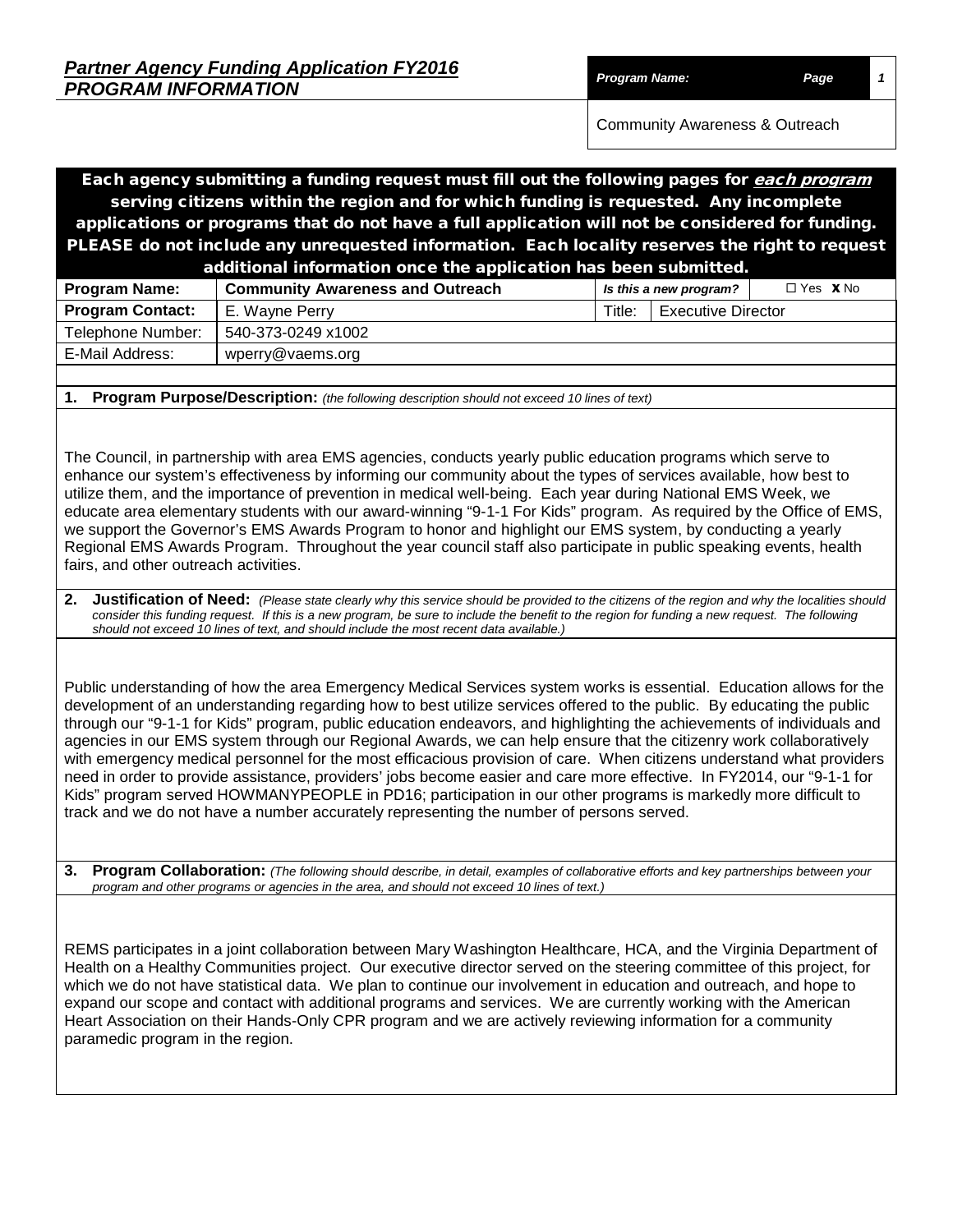| <b>Partner Agency Funding Application FY2016</b> |                      |      |
|--------------------------------------------------|----------------------|------|
| <b>PROGRAM INFORMATION</b>                       | <b>Program Name:</b> | Page |

Community Awareness & Outreach

Each agency submitting a funding request must fill out the following pages for each program serving citizens within the region and for which funding is requested. Any incomplete applications or programs that do not have a full application will not be considered for funding. PLEASE do not include any unrequested information. Each locality reserves the right to request

| additional information once the application has been submitted. |                                                                   |        |                           |  |  |  |  |  |  |  |
|-----------------------------------------------------------------|-------------------------------------------------------------------|--------|---------------------------|--|--|--|--|--|--|--|
| <b>Program Name:</b>                                            | <b>Community Awareness and Outreach</b><br>Is this a new program? |        | $\Box$ Yes $\bm{X}$ No    |  |  |  |  |  |  |  |
| <b>Program Contact:</b>                                         | E. Wayne Perry                                                    | Title: | <b>Executive Director</b> |  |  |  |  |  |  |  |
| Telephone Number:                                               | 540-373-0249 x1002                                                |        |                           |  |  |  |  |  |  |  |
| E-Mail Address:                                                 | wperry@vaems.org                                                  |        |                           |  |  |  |  |  |  |  |
|                                                                 |                                                                   |        |                           |  |  |  |  |  |  |  |

**1. Program Purpose/Description:** *(the following description should not exceed 10 lines of text)*

The Council, in partnership with area EMS agencies, conducts yearly public education programs which serve to enhance our system's effectiveness by informing our community about the types of services available, how best to utilize them, and the importance of prevention in medical well-being. Each year during National EMS Week, we educate area elementary students with our award-winning "9-1-1 For Kids" program. As required by the Office of EMS, we support the Governor's EMS Awards Program to honor and highlight our EMS system, by conducting a yearly Regional EMS Awards Program. Throughout the year council staff also participate in public speaking events, health fairs, and other outreach activities.

**2.** Justification of Need: (Please state clearly why this service should be provided to the citizens of the region and why the localities should *consider this funding request. If this is a new program, be sure to include the benefit to the region for funding a new request. The following should not exceed 10 lines of text, and should include the most recent data available.)*

Public understanding of how the area Emergency Medical Services system works is essential. Education allows for the development of an understanding regarding how to best utilize services offered to the public. By educating the public through our "9-1-1 for Kids" program, public education endeavors, and highlighting the achievements of individuals and agencies in our EMS system through our Regional Awards, we can help ensure that the citizenry work collaboratively with emergency medical personnel for the most efficacious provision of care. When citizens understand what providers need in order to provide assistance, providers' jobs become easier and care more effective. In FY2014, our "9-1-1 for Kids" program served HOWMANYPEOPLE in PD16; participation in our other programs is markedly more difficult to track and we do not have a number accurately representing the number of persons served.

**3. Program Collaboration:** *(The following should describe, in detail, examples of collaborative efforts and key partnerships between your program and other programs or agencies in the area, and should not exceed 10 lines of text.)*

REMS participates in a joint collaboration between Mary Washington Healthcare, HCA, and the Virginia Department of Health on a Healthy Communities project. Our executive director served on the steering committee of this project, for which we do not have statistical data. We plan to continue our involvement in education and outreach, and hope to expand our scope and contact with additional programs and services. We are currently working with the American Heart Association on their Hands-Only CPR program and we are actively reviewing information for a community paramedic program in the region.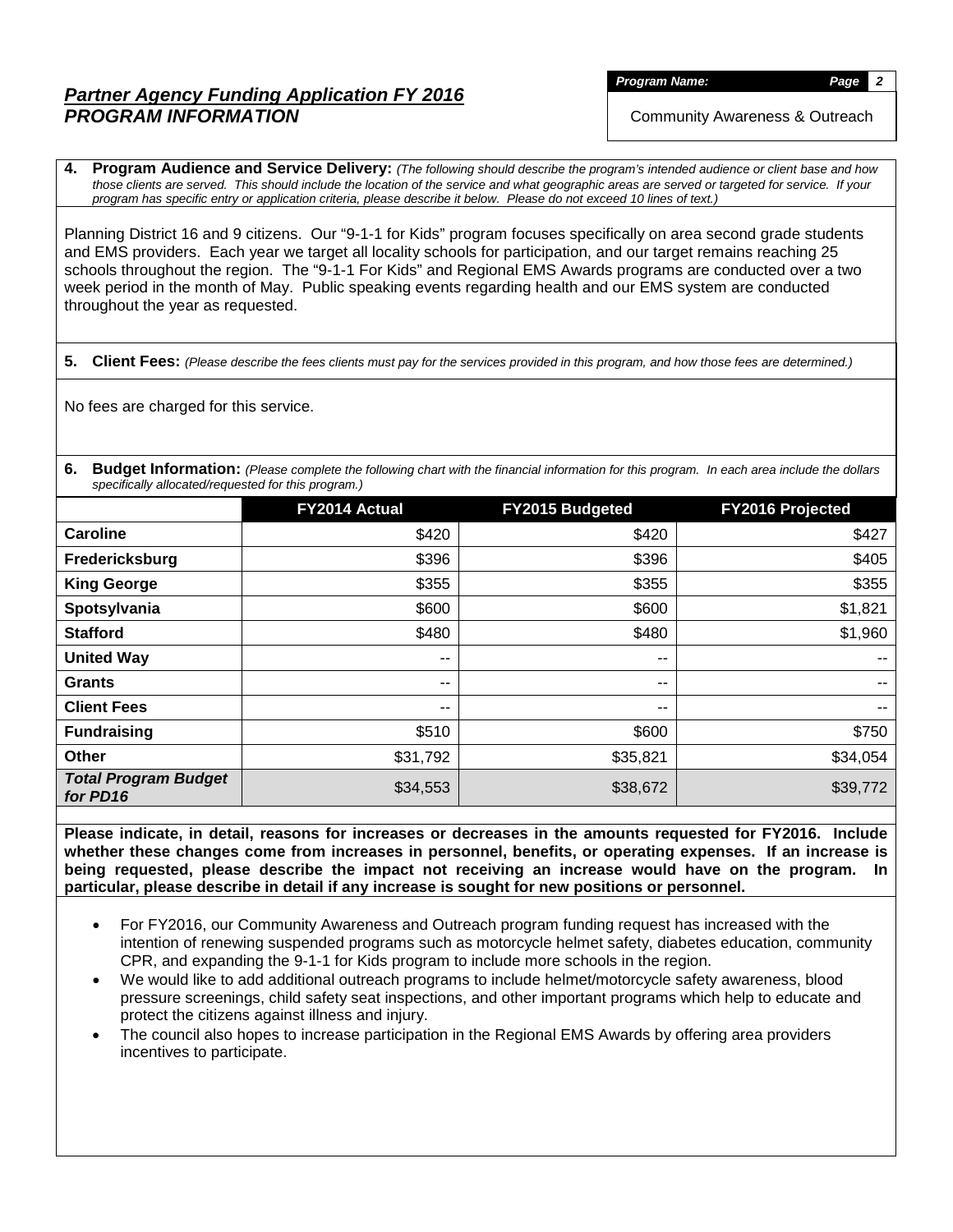*Program Name: Page 2*

Community Awareness & Outreach

**4. Program Audience and Service Delivery:** *(The following should describe the program's intended audience or client base and how those clients are served. This should include the location of the service and what geographic areas are served or targeted for service. If your program has specific entry or application criteria, please describe it below. Please do not exceed 10 lines of text.)*

Planning District 16 and 9 citizens. Our "9-1-1 for Kids" program focuses specifically on area second grade students and EMS providers. Each year we target all locality schools for participation, and our target remains reaching 25 schools throughout the region. The "9-1-1 For Kids" and Regional EMS Awards programs are conducted over a two week period in the month of May. Public speaking events regarding health and our EMS system are conducted throughout the year as requested.

**5. Client Fees:** *(Please describe the fees clients must pay for the services provided in this program, and how those fees are determined.)*

No fees are charged for this service.

**6. Budget Information:** *(Please complete the following chart with the financial information for this program. In each area include the dollars specifically allocated/requested for this program.)*

|                                         | FY2014 Actual | <b>FY2015 Budgeted</b> | FY2016 Projected |
|-----------------------------------------|---------------|------------------------|------------------|
| <b>Caroline</b>                         | \$420         | \$420                  | \$427            |
| Fredericksburg                          | \$396         | \$396                  | \$405            |
| <b>King George</b>                      | \$355         | \$355                  | \$355            |
| Spotsylvania                            | \$600         | \$600                  | \$1,821          |
| <b>Stafford</b>                         | \$480         | \$480                  | \$1,960          |
| <b>United Way</b>                       | $- -$         | --                     | --               |
| <b>Grants</b>                           | $- -$         | --                     | --               |
| <b>Client Fees</b>                      | --            | --                     | --               |
| <b>Fundraising</b>                      | \$510         | \$600                  | \$750            |
| <b>Other</b>                            | \$31,792      | \$35,821               | \$34,054         |
| <b>Total Program Budget</b><br>for PD16 | \$34,553      | \$38,672               | \$39,772         |

**Please indicate, in detail, reasons for increases or decreases in the amounts requested for FY2016. Include whether these changes come from increases in personnel, benefits, or operating expenses. If an increase is being requested, please describe the impact not receiving an increase would have on the program. In particular, please describe in detail if any increase is sought for new positions or personnel.**

- For FY2016, our Community Awareness and Outreach program funding request has increased with the intention of renewing suspended programs such as motorcycle helmet safety, diabetes education, community CPR, and expanding the 9-1-1 for Kids program to include more schools in the region.
- We would like to add additional outreach programs to include helmet/motorcycle safety awareness, blood pressure screenings, child safety seat inspections, and other important programs which help to educate and protect the citizens against illness and injury.
- The council also hopes to increase participation in the Regional EMS Awards by offering area providers incentives to participate.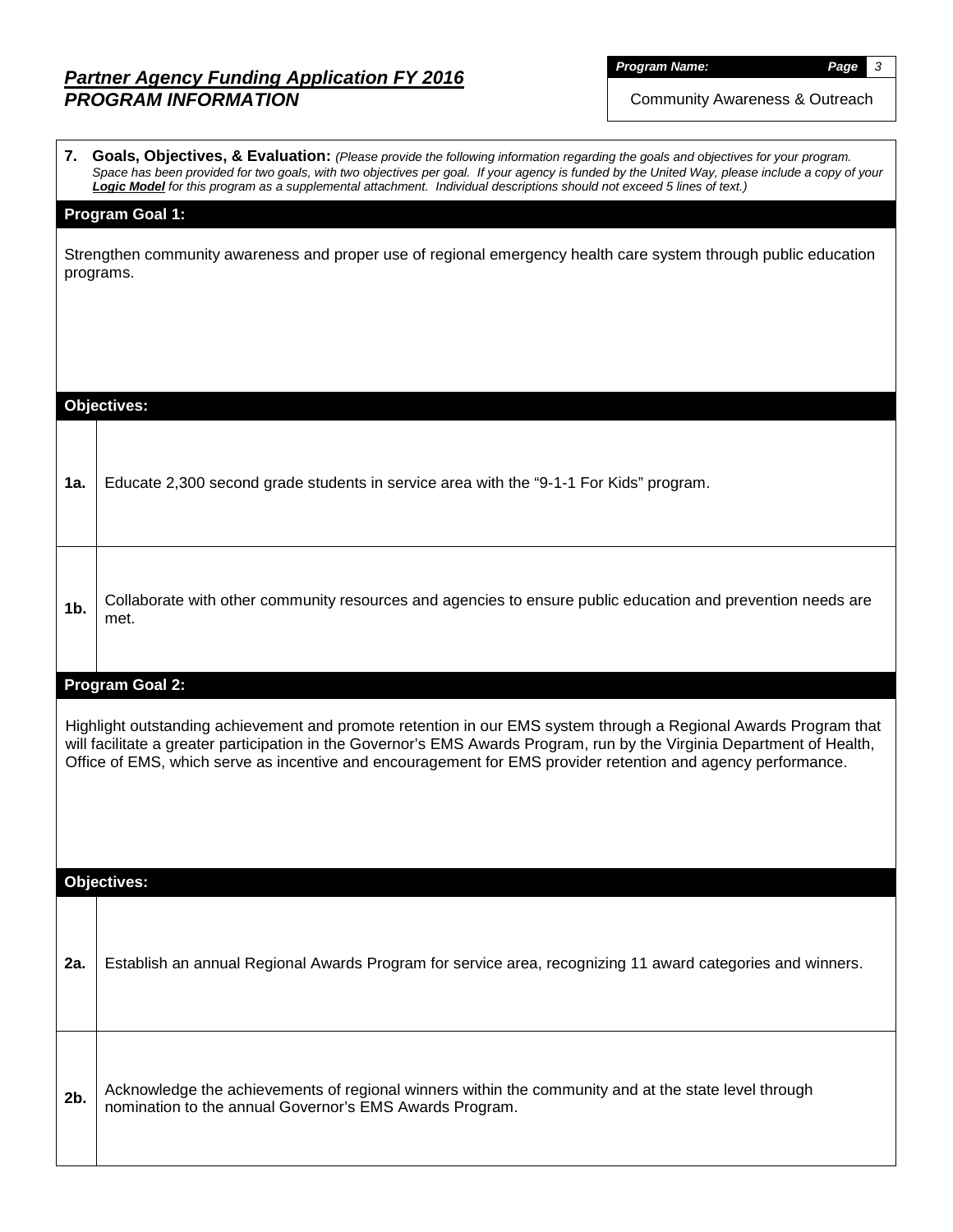Community Awareness & Outreach

|                | 7. Goals, Objectives, & Evaluation: (Please provide the following information regarding the goals and objectives for your program.<br>Space has been provided for two goals, with two objectives per goal. If your agency is funded by the United Way, please include a copy of your<br>Logic Model for this program as a supplemental attachment. Individual descriptions should not exceed 5 lines of text.) |
|----------------|----------------------------------------------------------------------------------------------------------------------------------------------------------------------------------------------------------------------------------------------------------------------------------------------------------------------------------------------------------------------------------------------------------------|
|                | <b>Program Goal 1:</b>                                                                                                                                                                                                                                                                                                                                                                                         |
|                | Strengthen community awareness and proper use of regional emergency health care system through public education<br>programs.                                                                                                                                                                                                                                                                                   |
|                | <b>Objectives:</b>                                                                                                                                                                                                                                                                                                                                                                                             |
|                |                                                                                                                                                                                                                                                                                                                                                                                                                |
| 1a.            | Educate 2,300 second grade students in service area with the "9-1-1 For Kids" program.                                                                                                                                                                                                                                                                                                                         |
| 1 <sub>b</sub> | Collaborate with other community resources and agencies to ensure public education and prevention needs are<br>met.                                                                                                                                                                                                                                                                                            |
|                | Program Goal 2:                                                                                                                                                                                                                                                                                                                                                                                                |
|                | Highlight outstanding achievement and promote retention in our EMS system through a Regional Awards Program that<br>will facilitate a greater participation in the Governor's EMS Awards Program, run by the Virginia Department of Health,<br>Office of EMS, which serve as incentive and encouragement for EMS provider retention and agency performance.                                                    |
|                |                                                                                                                                                                                                                                                                                                                                                                                                                |
|                | <b>Objectives:</b>                                                                                                                                                                                                                                                                                                                                                                                             |
| 2a.            | Establish an annual Regional Awards Program for service area, recognizing 11 award categories and winners.                                                                                                                                                                                                                                                                                                     |
|                |                                                                                                                                                                                                                                                                                                                                                                                                                |
| 2b.            | Acknowledge the achievements of regional winners within the community and at the state level through<br>nomination to the annual Governor's EMS Awards Program.                                                                                                                                                                                                                                                |
|                |                                                                                                                                                                                                                                                                                                                                                                                                                |

 $\blacksquare$ 

*Program Name: Page 3*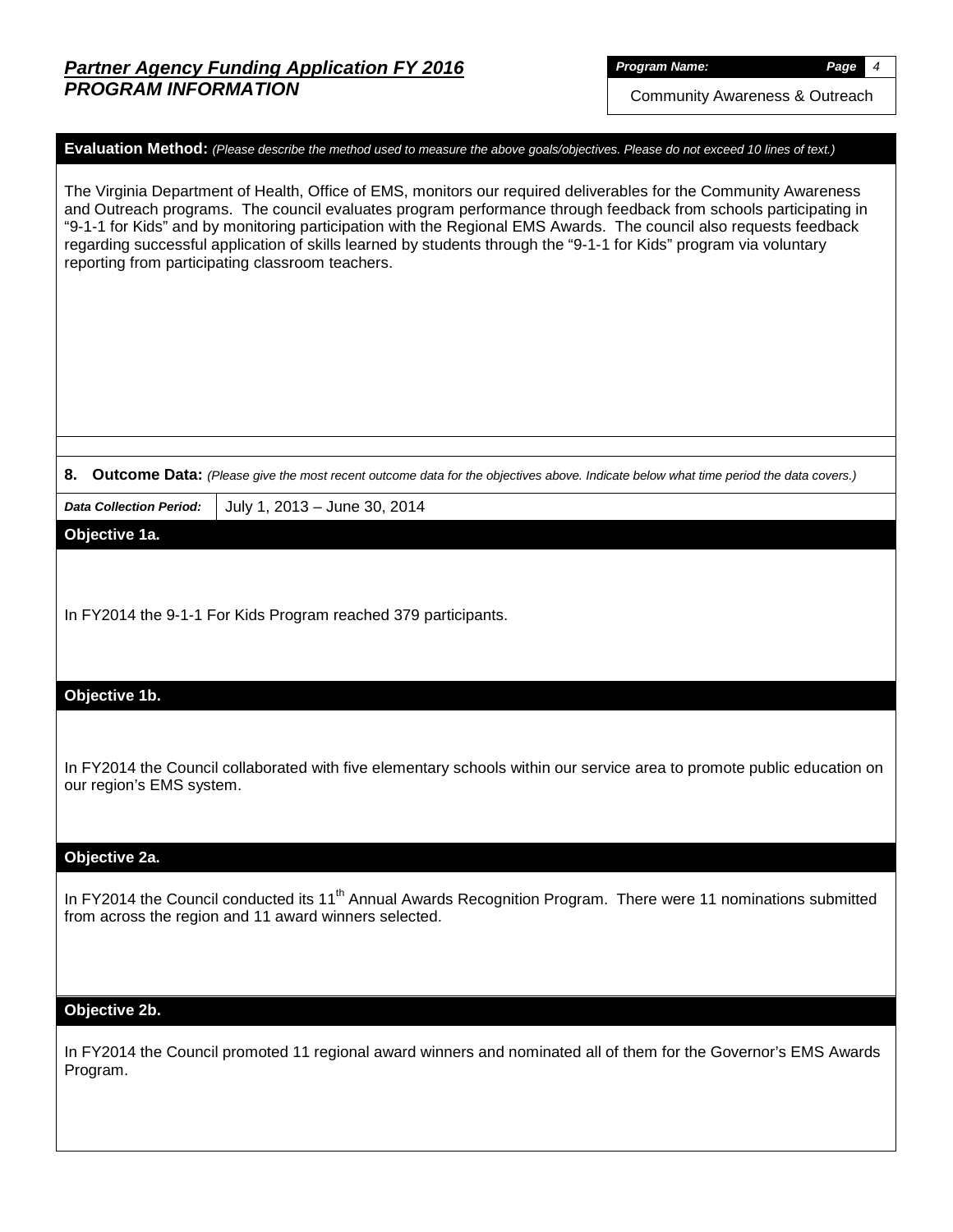Community Awareness & Outreach

### **Evaluation Method:** *(Please describe the method used to measure the above goals/objectives. Please do not exceed 10 lines of text.)*

The Virginia Department of Health, Office of EMS, monitors our required deliverables for the Community Awareness and Outreach programs. The council evaluates program performance through feedback from schools participating in "9-1-1 for Kids" and by monitoring participation with the Regional EMS Awards. The council also requests feedback regarding successful application of skills learned by students through the "9-1-1 for Kids" program via voluntary reporting from participating classroom teachers.

#### **8. Outcome Data:** *(Please give the most recent outcome data for the objectives above. Indicate below what time period the data covers.)*

*Data Collection Period:* July 1, 2013 – June 30, 2014

## **Objective 1a.**

In FY2014 the 9-1-1 For Kids Program reached 379 participants.

### **Objective 1b.**

In FY2014 the Council collaborated with five elementary schools within our service area to promote public education on our region's EMS system.

#### **Objective 2a.**

In FY2014 the Council conducted its 11<sup>th</sup> Annual Awards Recognition Program. There were 11 nominations submitted from across the region and 11 award winners selected.

#### **Objective 2b.**

In FY2014 the Council promoted 11 regional award winners and nominated all of them for the Governor's EMS Awards Program.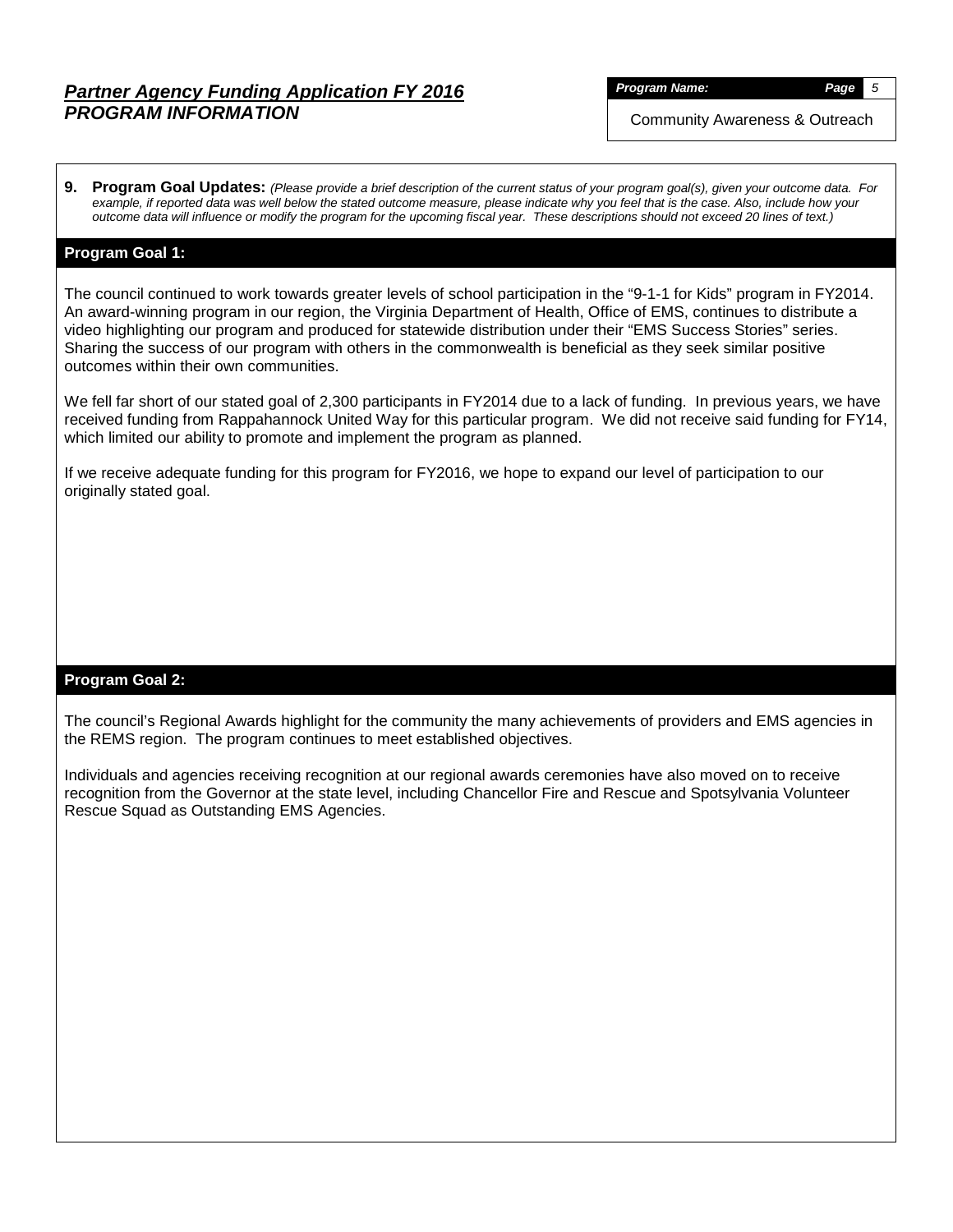*Program Name: Page 5*

Community Awareness & Outreach

**9. Program Goal Updates:** *(Please provide a brief description of the current status of your program goal(s), given your outcome data. For example, if reported data was well below the stated outcome measure, please indicate why you feel that is the case. Also, include how your outcome data will influence or modify the program for the upcoming fiscal year. These descriptions should not exceed 20 lines of text.)*

## **Program Goal 1:**

The council continued to work towards greater levels of school participation in the "9-1-1 for Kids" program in FY2014. An award-winning program in our region, the Virginia Department of Health, Office of EMS, continues to distribute a video highlighting our program and produced for statewide distribution under their "EMS Success Stories" series. Sharing the success of our program with others in the commonwealth is beneficial as they seek similar positive outcomes within their own communities.

We fell far short of our stated goal of 2,300 participants in FY2014 due to a lack of funding. In previous years, we have received funding from Rappahannock United Way for this particular program. We did not receive said funding for FY14, which limited our ability to promote and implement the program as planned.

If we receive adequate funding for this program for FY2016, we hope to expand our level of participation to our originally stated goal.

### **Program Goal 2:**

The council's Regional Awards highlight for the community the many achievements of providers and EMS agencies in the REMS region. The program continues to meet established objectives.

Individuals and agencies receiving recognition at our regional awards ceremonies have also moved on to receive recognition from the Governor at the state level, including Chancellor Fire and Rescue and Spotsylvania Volunteer Rescue Squad as Outstanding EMS Agencies.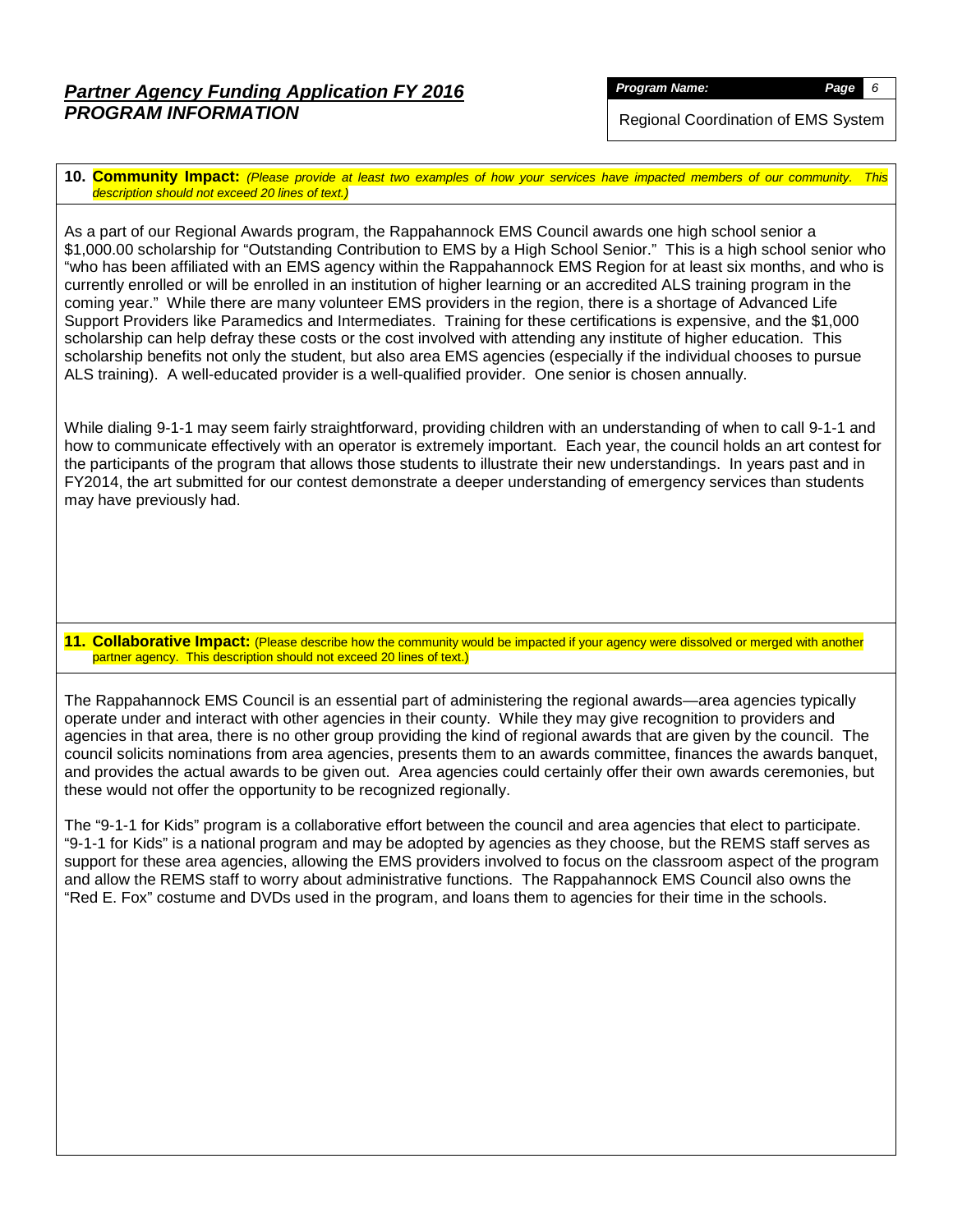*Program Name: Page 6*

Regional Coordination of EMS System

**10. Community Impact:** *(Please provide at least two examples of how your services have impacted members of our community. This description should not exceed 20 lines of text.)*

As a part of our Regional Awards program, the Rappahannock EMS Council awards one high school senior a \$1,000.00 scholarship for "Outstanding Contribution to EMS by a High School Senior." This is a high school senior who "who has been affiliated with an EMS agency within the Rappahannock EMS Region for at least six months, and who is currently enrolled or will be enrolled in an institution of higher learning or an accredited ALS training program in the coming year." While there are many volunteer EMS providers in the region, there is a shortage of Advanced Life Support Providers like Paramedics and Intermediates. Training for these certifications is expensive, and the \$1,000 scholarship can help defray these costs or the cost involved with attending any institute of higher education. This scholarship benefits not only the student, but also area EMS agencies (especially if the individual chooses to pursue ALS training). A well-educated provider is a well-qualified provider. One senior is chosen annually.

While dialing 9-1-1 may seem fairly straightforward, providing children with an understanding of when to call 9-1-1 and how to communicate effectively with an operator is extremely important. Each year, the council holds an art contest for the participants of the program that allows those students to illustrate their new understandings. In years past and in FY2014, the art submitted for our contest demonstrate a deeper understanding of emergency services than students may have previously had.

**11. Collaborative Impact:** (Please describe how the community would be impacted if your agency were dissolved or merged with another partner agency. This description should not exceed 20 lines of text.)

The Rappahannock EMS Council is an essential part of administering the regional awards—area agencies typically operate under and interact with other agencies in their county. While they may give recognition to providers and agencies in that area, there is no other group providing the kind of regional awards that are given by the council. The council solicits nominations from area agencies, presents them to an awards committee, finances the awards banquet, and provides the actual awards to be given out. Area agencies could certainly offer their own awards ceremonies, but these would not offer the opportunity to be recognized regionally.

The "9-1-1 for Kids" program is a collaborative effort between the council and area agencies that elect to participate. "9-1-1 for Kids" is a national program and may be adopted by agencies as they choose, but the REMS staff serves as support for these area agencies, allowing the EMS providers involved to focus on the classroom aspect of the program and allow the REMS staff to worry about administrative functions. The Rappahannock EMS Council also owns the "Red E. Fox" costume and DVDs used in the program, and loans them to agencies for their time in the schools.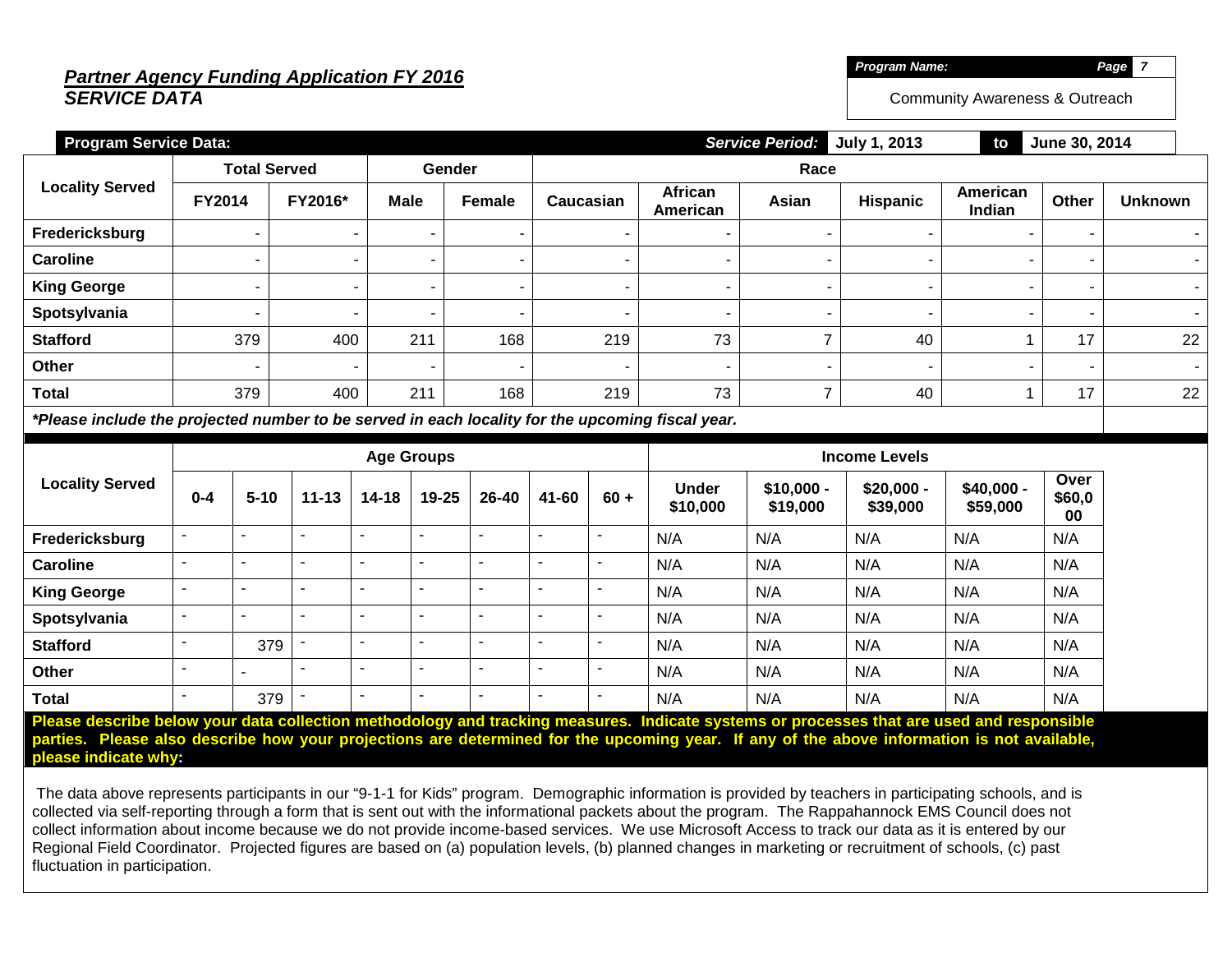# *Partner Agency Funding Application FY 2016 SERVICE DATA*

*Program Name: Page 7*

Community Awareness & Outreach

| <b>Program Service Data:</b>                                                                    |                     |         |      |                | <b>Service Period:</b><br>July 1, 2013<br>June 30, 2014<br>to |                          |       |          |                    |       |                |    |  |
|-------------------------------------------------------------------------------------------------|---------------------|---------|------|----------------|---------------------------------------------------------------|--------------------------|-------|----------|--------------------|-------|----------------|----|--|
|                                                                                                 | <b>Total Served</b> |         |      | Gender         | Race                                                          |                          |       |          |                    |       |                |    |  |
| <b>Locality Served</b>                                                                          | <b>FY2014</b>       | FY2016* | Male | <b>Female</b>  | Caucasian                                                     | African<br>American      | Asian | Hispanic | American<br>Indian | Other | <b>Unknown</b> |    |  |
| Fredericksburg                                                                                  |                     |         |      |                |                                                               |                          |       |          |                    |       |                |    |  |
| <b>Caroline</b>                                                                                 |                     |         |      |                |                                                               |                          |       |          |                    |       |                |    |  |
| <b>King George</b>                                                                              |                     |         |      | $\blacksquare$ |                                                               | $\overline{\phantom{a}}$ |       |          |                    |       |                |    |  |
| Spotsylvania                                                                                    |                     |         |      | -              | $\overline{\phantom{a}}$                                      |                          |       |          |                    |       |                |    |  |
| <b>Stafford</b>                                                                                 | 379                 | 400     | 211  | 168            | 219                                                           | 73                       |       | 40       |                    | 17    |                | 22 |  |
| Other                                                                                           |                     |         |      |                | $\overline{\phantom{a}}$                                      | $\overline{\phantom{a}}$ |       |          |                    |       |                |    |  |
| <b>Total</b>                                                                                    | 379                 | 400     | 211  | 168            | 219                                                           | 73                       |       | 40       |                    | 17    |                | 22 |  |
| tDleasa inaluda tha nuaisatad numbay ta ba sawyad in saab lasality fay tha unaaming fissal yaay |                     |         |      |                |                                                               |                          |       |          |                    |       |                |    |  |

*\*Please include the projected number to be served in each locality for the upcoming fiscal year.*

|                        | <b>Age Groups</b>        |          |           |           |                          |                          |                | <b>Income Levels</b>     |                          |                         |                         |                         |                      |
|------------------------|--------------------------|----------|-----------|-----------|--------------------------|--------------------------|----------------|--------------------------|--------------------------|-------------------------|-------------------------|-------------------------|----------------------|
| <b>Locality Served</b> | $0 - 4$                  | $5 - 10$ | $11 - 13$ | $14 - 18$ | $19 - 25$                | 26-40                    | 41-60          | $60 +$                   | <b>Under</b><br>\$10,000 | $$10,000 -$<br>\$19,000 | $$20,000 -$<br>\$39,000 | $$40,000 -$<br>\$59,000 | Over<br>\$60,0<br>00 |
| Fredericksburg         | $\blacksquare$           |          |           |           |                          | $\overline{\phantom{0}}$ |                | $\overline{\phantom{0}}$ | N/A                      | N/A                     | N/A                     | N/A                     | N/A                  |
| <b>Caroline</b>        | $\overline{\phantom{0}}$ |          |           |           |                          |                          |                | -                        | N/A                      | N/A                     | N/A                     | N/A                     | N/A                  |
| <b>King George</b>     | $\overline{\phantom{a}}$ | -        |           |           |                          |                          |                | -                        | N/A                      | N/A                     | N/A                     | N/A                     | N/A                  |
| Spotsylvania           | $\sim$                   |          |           |           | -                        | $\overline{\phantom{0}}$ | $\blacksquare$ | -                        | N/A                      | N/A                     | N/A                     | N/A                     | N/A                  |
| <b>Stafford</b>        | $\overline{\phantom{a}}$ | 379      |           |           | $\overline{\phantom{0}}$ | $\overline{\phantom{a}}$ | $\blacksquare$ | $\overline{\phantom{0}}$ | N/A                      | N/A                     | N/A                     | N/A                     | N/A                  |
| Other                  | $\overline{\phantom{a}}$ |          |           |           |                          | ۰                        |                | -                        | N/A                      | N/A                     | N/A                     | N/A                     | N/A                  |
| <b>Total</b>           | $\overline{\phantom{a}}$ | 379      |           |           | $\overline{\phantom{0}}$ | $\overline{\phantom{0}}$ |                | -                        | N/A                      | N/A                     | N/A                     | N/A                     | N/A                  |

**Please describe below your data collection methodology and tracking measures. Indicate systems or processes that are used and responsible parties. Please also describe how your projections are determined for the upcoming year. If any of the above information is not available, please indicate why:**

The data above represents participants in our "9-1-1 for Kids" program. Demographic information is provided by teachers in participating schools, and is collected via self-reporting through a form that is sent out with the informational packets about the program. The Rappahannock EMS Council does not collect information about income because we do not provide income-based services. We use Microsoft Access to track our data as it is entered by our Regional Field Coordinator. Projected figures are based on (a) population levels, (b) planned changes in marketing or recruitment of schools, (c) past fluctuation in participation.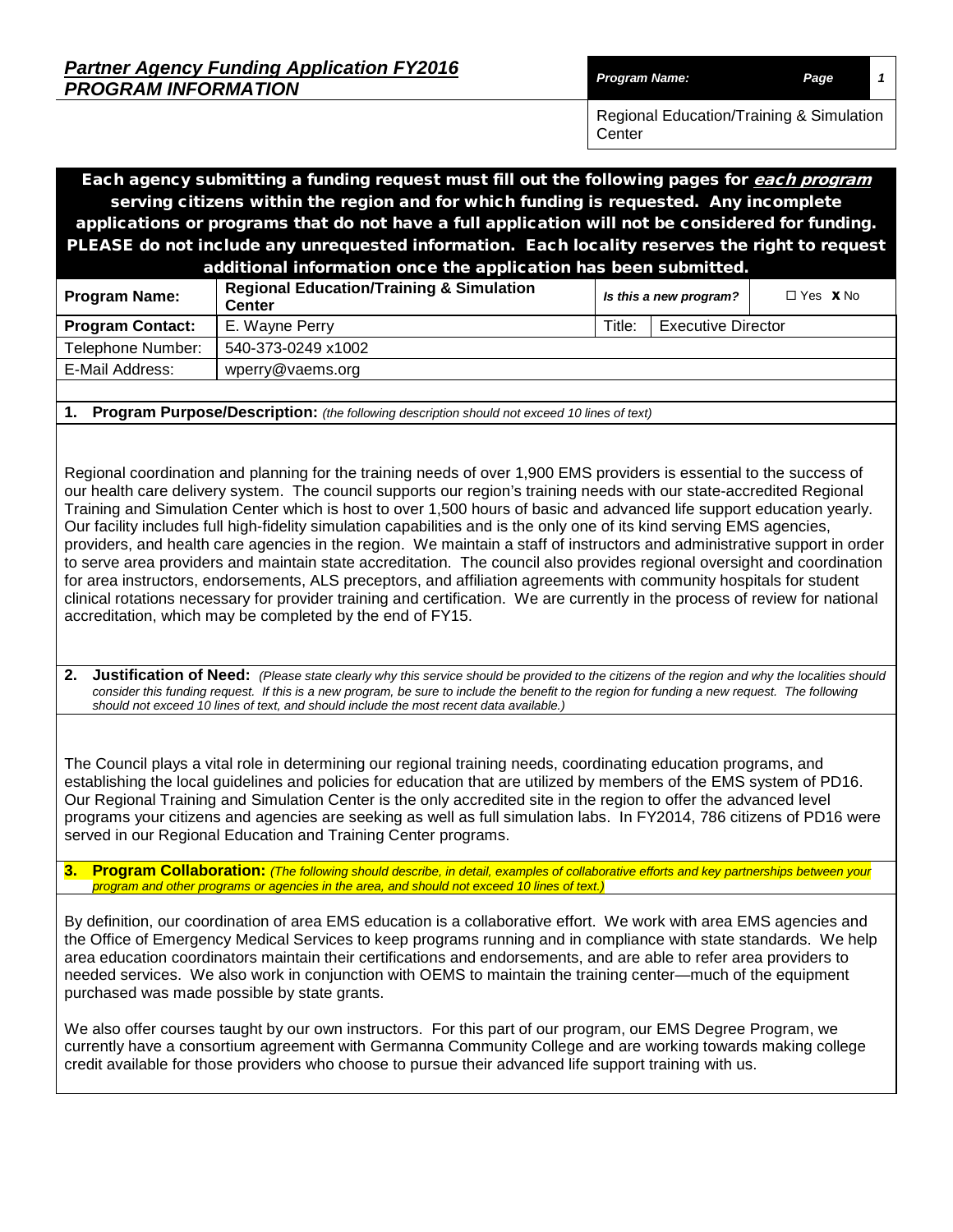| <b>Partner Agency Funding Application FY2016</b> |                      |      |  |
|--------------------------------------------------|----------------------|------|--|
| <b>PROGRAM INFORMATION</b>                       | <b>Program Name:</b> | Page |  |

Center

Regional Education/Training & Simulation

Each agency submitting a funding request must fill out the following pages for each program serving citizens within the region and for which funding is requested. Any incomplete applications or programs that do not have a full application will not be considered for funding. PLEASE do not include any unrequested information. Each locality reserves the right to request additional information once the application has been submitted.

| additional information once the application has been submitted. |                                                                      |        |                           |                        |  |  |  |  |  |
|-----------------------------------------------------------------|----------------------------------------------------------------------|--------|---------------------------|------------------------|--|--|--|--|--|
| <b>Program Name:</b>                                            | <b>Regional Education/Training &amp; Simulation</b><br><b>Center</b> |        | Is this a new program?    | $\Box$ Yes $\bm{X}$ No |  |  |  |  |  |
| <b>Program Contact:</b>                                         | E. Wayne Perry                                                       | Title: | <b>Executive Director</b> |                        |  |  |  |  |  |
| Telephone Number:                                               | 540-373-0249 x1002                                                   |        |                           |                        |  |  |  |  |  |
| E-Mail Address:                                                 | wperry@vaems.org                                                     |        |                           |                        |  |  |  |  |  |
|                                                                 |                                                                      |        |                           |                        |  |  |  |  |  |

**1. Program Purpose/Description:** *(the following description should not exceed 10 lines of text)*

Regional coordination and planning for the training needs of over 1,900 EMS providers is essential to the success of our health care delivery system. The council supports our region's training needs with our state-accredited Regional Training and Simulation Center which is host to over 1,500 hours of basic and advanced life support education yearly. Our facility includes full high-fidelity simulation capabilities and is the only one of its kind serving EMS agencies, providers, and health care agencies in the region. We maintain a staff of instructors and administrative support in order to serve area providers and maintain state accreditation. The council also provides regional oversight and coordination for area instructors, endorsements, ALS preceptors, and affiliation agreements with community hospitals for student clinical rotations necessary for provider training and certification. We are currently in the process of review for national accreditation, which may be completed by the end of FY15.

**2. Justification of Need:** *(Please state clearly why this service should be provided to the citizens of the region and why the localities should*  consider this funding request. If this is a new program, be sure to include the benefit to the region for funding a new request. The following *should not exceed 10 lines of text, and should include the most recent data available.)*

The Council plays a vital role in determining our regional training needs, coordinating education programs, and establishing the local guidelines and policies for education that are utilized by members of the EMS system of PD16. Our Regional Training and Simulation Center is the only accredited site in the region to offer the advanced level programs your citizens and agencies are seeking as well as full simulation labs. In FY2014, 786 citizens of PD16 were served in our Regional Education and Training Center programs.

**3. Program Collaboration:** *(The following should describe, in detail, examples of collaborative efforts and key partnerships between your program and other programs or agencies in the area, and should not exceed 10 lines of text.)*

By definition, our coordination of area EMS education is a collaborative effort. We work with area EMS agencies and the Office of Emergency Medical Services to keep programs running and in compliance with state standards. We help area education coordinators maintain their certifications and endorsements, and are able to refer area providers to needed services. We also work in conjunction with OEMS to maintain the training center—much of the equipment purchased was made possible by state grants.

We also offer courses taught by our own instructors. For this part of our program, our EMS Degree Program, we currently have a consortium agreement with Germanna Community College and are working towards making college credit available for those providers who choose to pursue their advanced life support training with us.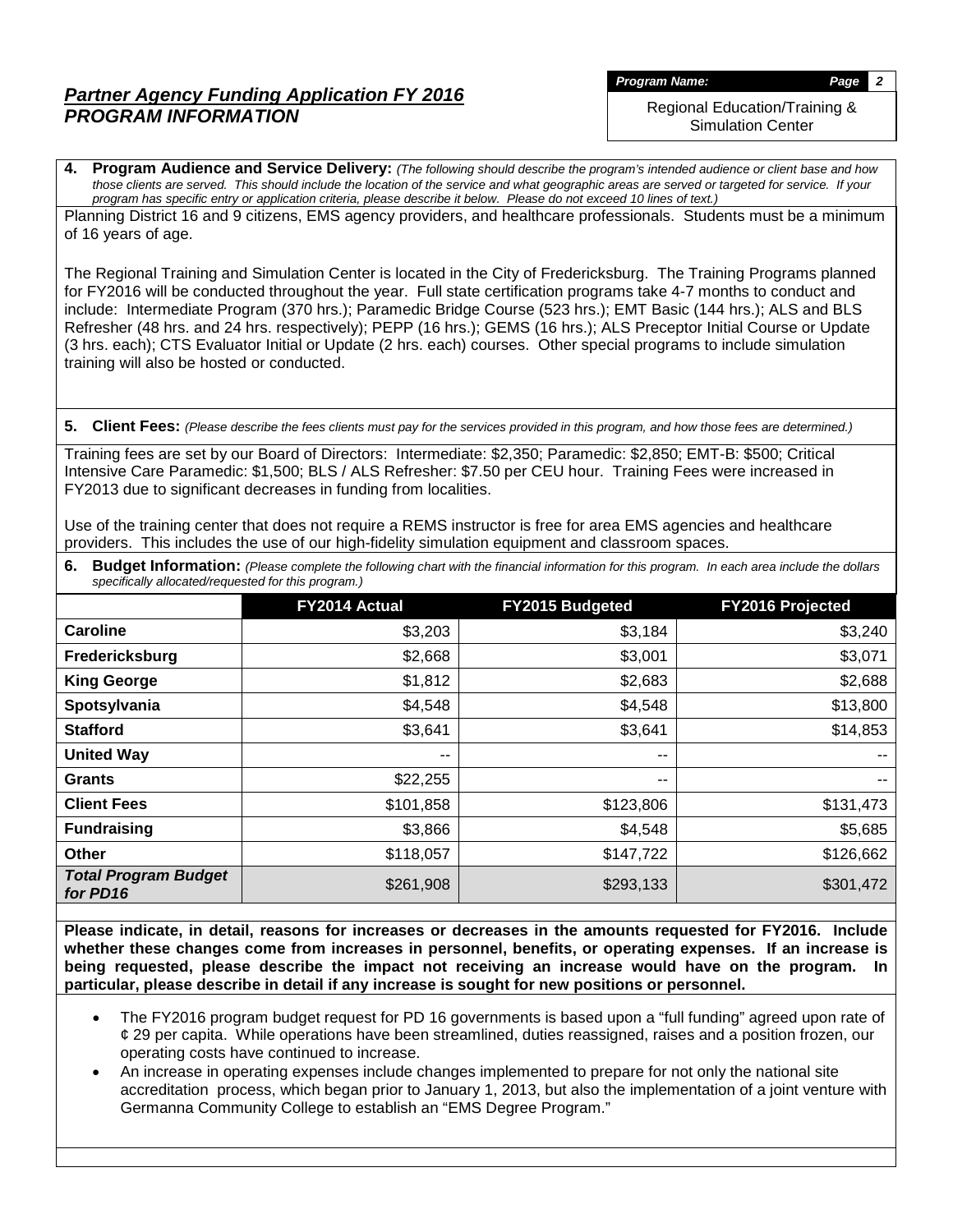*Program Name: Page 2*

Regional Education/Training & Simulation Center

**4. Program Audience and Service Delivery:** *(The following should describe the program's intended audience or client base and how those clients are served. This should include the location of the service and what geographic areas are served or targeted for service. If your program has specific entry or application criteria, please describe it below. Please do not exceed 10 lines of text.)*

Planning District 16 and 9 citizens, EMS agency providers, and healthcare professionals. Students must be a minimum of 16 years of age.

The Regional Training and Simulation Center is located in the City of Fredericksburg. The Training Programs planned for FY2016 will be conducted throughout the year. Full state certification programs take 4-7 months to conduct and include: Intermediate Program (370 hrs.); Paramedic Bridge Course (523 hrs.); EMT Basic (144 hrs.); ALS and BLS Refresher (48 hrs. and 24 hrs. respectively); PEPP (16 hrs.); GEMS (16 hrs.); ALS Preceptor Initial Course or Update (3 hrs. each); CTS Evaluator Initial or Update (2 hrs. each) courses. Other special programs to include simulation training will also be hosted or conducted.

**5. Client Fees:** *(Please describe the fees clients must pay for the services provided in this program, and how those fees are determined.)*

Training fees are set by our Board of Directors: Intermediate: \$2,350; Paramedic: \$2,850; EMT-B: \$500; Critical Intensive Care Paramedic: \$1,500; BLS / ALS Refresher: \$7.50 per CEU hour. Training Fees were increased in FY2013 due to significant decreases in funding from localities.

Use of the training center that does not require a REMS instructor is free for area EMS agencies and healthcare providers. This includes the use of our high-fidelity simulation equipment and classroom spaces.

| 6. Budget Information: (Please complete the following chart with the financial information for this program. In each area include the dollars |
|-----------------------------------------------------------------------------------------------------------------------------------------------|
| specifically allocated/requested for this program.)                                                                                           |

|                                         | FY2014 Actual | FY2015 Budgeted | FY2016 Projected |
|-----------------------------------------|---------------|-----------------|------------------|
| Caroline                                | \$3,203       | \$3,184         | \$3,240          |
| Fredericksburg                          | \$2,668       | \$3,001         | \$3,071          |
| <b>King George</b>                      | \$1,812       | \$2,683         | \$2,688          |
| Spotsylvania                            | \$4,548       | \$4,548         | \$13,800         |
| <b>Stafford</b>                         | \$3,641       | \$3,641         | \$14,853         |
| <b>United Way</b>                       | --            | --              | $\sim$ $\sim$    |
| <b>Grants</b>                           | \$22,255      | --              | $\sim$ $\sim$    |
| <b>Client Fees</b>                      | \$101,858     | \$123,806       | \$131,473        |
| <b>Fundraising</b>                      | \$3,866       | \$4,548         | \$5,685          |
| <b>Other</b>                            | \$118,057     | \$147,722       | \$126,662        |
| <b>Total Program Budget</b><br>for PD16 | \$261,908     | \$293,133       | \$301,472        |

**Please indicate, in detail, reasons for increases or decreases in the amounts requested for FY2016. Include whether these changes come from increases in personnel, benefits, or operating expenses. If an increase is being requested, please describe the impact not receiving an increase would have on the program. In particular, please describe in detail if any increase is sought for new positions or personnel.**

- The FY2016 program budget request for PD 16 governments is based upon a "full funding" agreed upon rate of  $\phi$  29 per capita. While operations have been streamlined, duties reassigned, raises and a position frozen, our operating costs have continued to increase.
- An increase in operating expenses include changes implemented to prepare for not only the national site accreditation process, which began prior to January 1, 2013, but also the implementation of a joint venture with Germanna Community College to establish an "EMS Degree Program."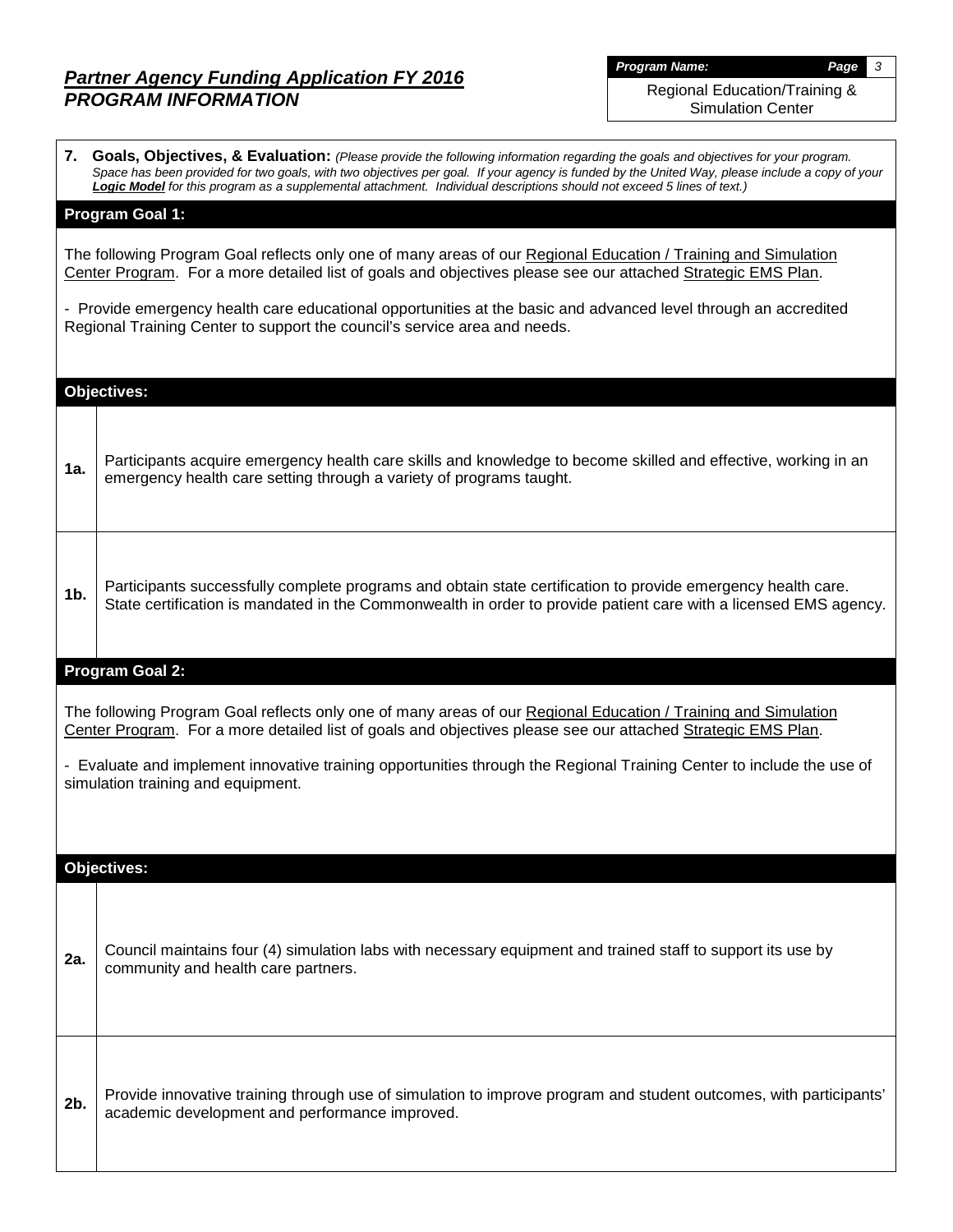*Program Name: Page 3*

Regional Education/Training & Simulation Center

|                | 7. Goals, Objectives, & Evaluation: (Please provide the following information regarding the goals and objectives for your program.<br>Space has been provided for two goals, with two objectives per goal. If your agency is funded by the United Way, please include a copy of your<br>Logic Model for this program as a supplemental attachment. Individual descriptions should not exceed 5 lines of text.) |
|----------------|----------------------------------------------------------------------------------------------------------------------------------------------------------------------------------------------------------------------------------------------------------------------------------------------------------------------------------------------------------------------------------------------------------------|
|                | <b>Program Goal 1:</b>                                                                                                                                                                                                                                                                                                                                                                                         |
|                | The following Program Goal reflects only one of many areas of our Regional Education / Training and Simulation<br>Center Program. For a more detailed list of goals and objectives please see our attached Strategic EMS Plan.                                                                                                                                                                                 |
|                | - Provide emergency health care educational opportunities at the basic and advanced level through an accredited<br>Regional Training Center to support the council's service area and needs.                                                                                                                                                                                                                   |
|                | <b>Objectives:</b>                                                                                                                                                                                                                                                                                                                                                                                             |
| 1a.            | Participants acquire emergency health care skills and knowledge to become skilled and effective, working in an<br>emergency health care setting through a variety of programs taught.                                                                                                                                                                                                                          |
| 1 <sub>b</sub> | Participants successfully complete programs and obtain state certification to provide emergency health care.<br>State certification is mandated in the Commonwealth in order to provide patient care with a licensed EMS agency.                                                                                                                                                                               |
|                | Program Goal 2:                                                                                                                                                                                                                                                                                                                                                                                                |
|                | The following Program Goal reflects only one of many areas of our Regional Education / Training and Simulation<br>Center Program. For a more detailed list of goals and objectives please see our attached Strategic EMS Plan.                                                                                                                                                                                 |
|                | - Evaluate and implement innovative training opportunities through the Regional Training Center to include the use of<br>simulation training and equipment.                                                                                                                                                                                                                                                    |
|                |                                                                                                                                                                                                                                                                                                                                                                                                                |
|                | <b>Objectives:</b>                                                                                                                                                                                                                                                                                                                                                                                             |
| 2a.            | Council maintains four (4) simulation labs with necessary equipment and trained staff to support its use by<br>community and health care partners.                                                                                                                                                                                                                                                             |
|                |                                                                                                                                                                                                                                                                                                                                                                                                                |
| 2b.            | Provide innovative training through use of simulation to improve program and student outcomes, with participants'<br>academic development and performance improved.                                                                                                                                                                                                                                            |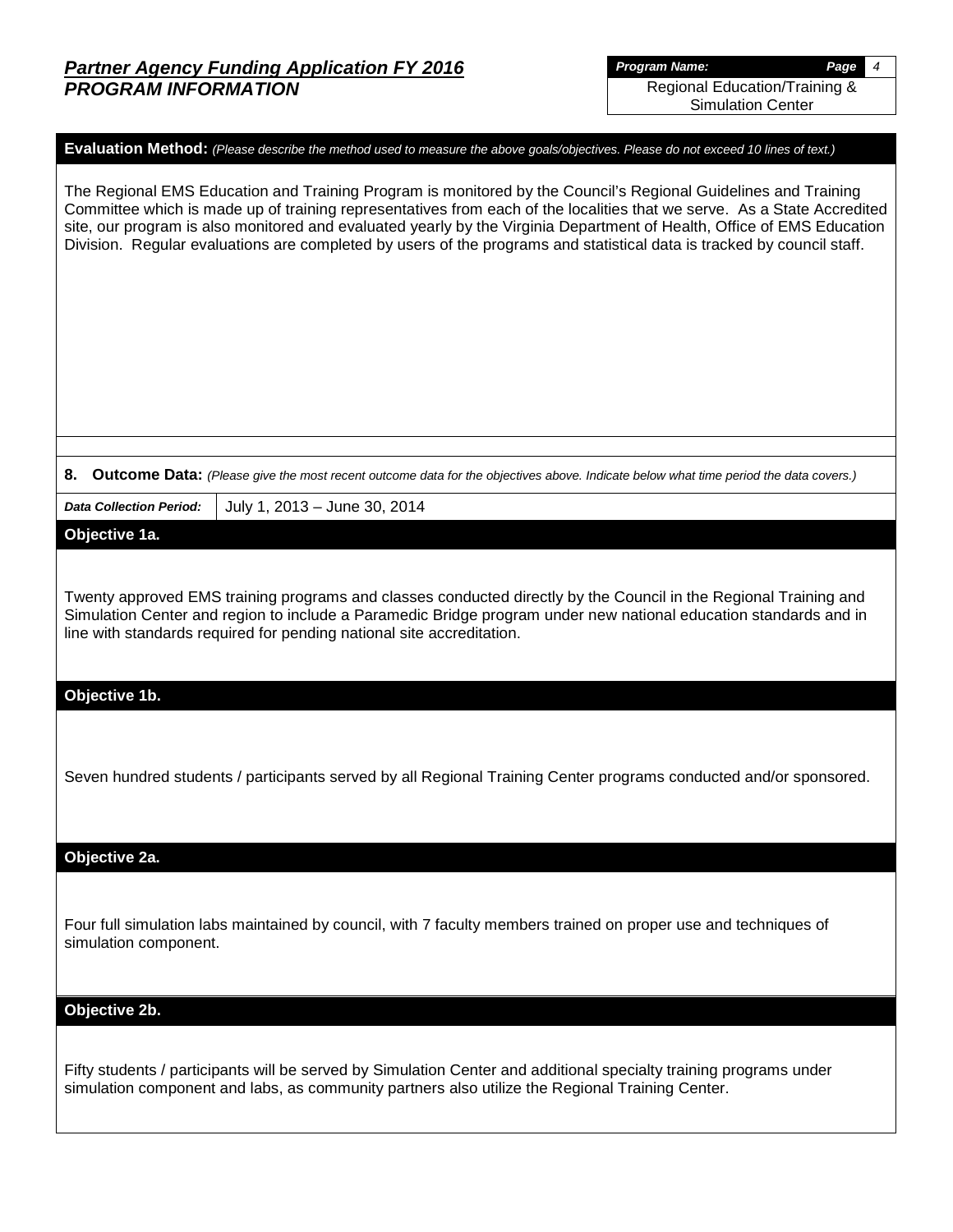*Program Name: Page 4* Regional Education/Training &

Simulation Center

### **Evaluation Method:** *(Please describe the method used to measure the above goals/objectives. Please do not exceed 10 lines of text.)*

The Regional EMS Education and Training Program is monitored by the Council's Regional Guidelines and Training Committee which is made up of training representatives from each of the localities that we serve. As a State Accredited site, our program is also monitored and evaluated yearly by the Virginia Department of Health, Office of EMS Education Division. Regular evaluations are completed by users of the programs and statistical data is tracked by council staff.

**8. Outcome Data:** *(Please give the most recent outcome data for the objectives above. Indicate below what time period the data covers.)*

*Data Collection Period:* July 1, 2013 – June 30, 2014

## **Objective 1a.**

Twenty approved EMS training programs and classes conducted directly by the Council in the Regional Training and Simulation Center and region to include a Paramedic Bridge program under new national education standards and in line with standards required for pending national site accreditation.

### **Objective 1b.**

Seven hundred students / participants served by all Regional Training Center programs conducted and/or sponsored.

**Objective 2a.**

Four full simulation labs maintained by council, with 7 faculty members trained on proper use and techniques of simulation component.

**Objective 2b.**

Fifty students / participants will be served by Simulation Center and additional specialty training programs under simulation component and labs, as community partners also utilize the Regional Training Center.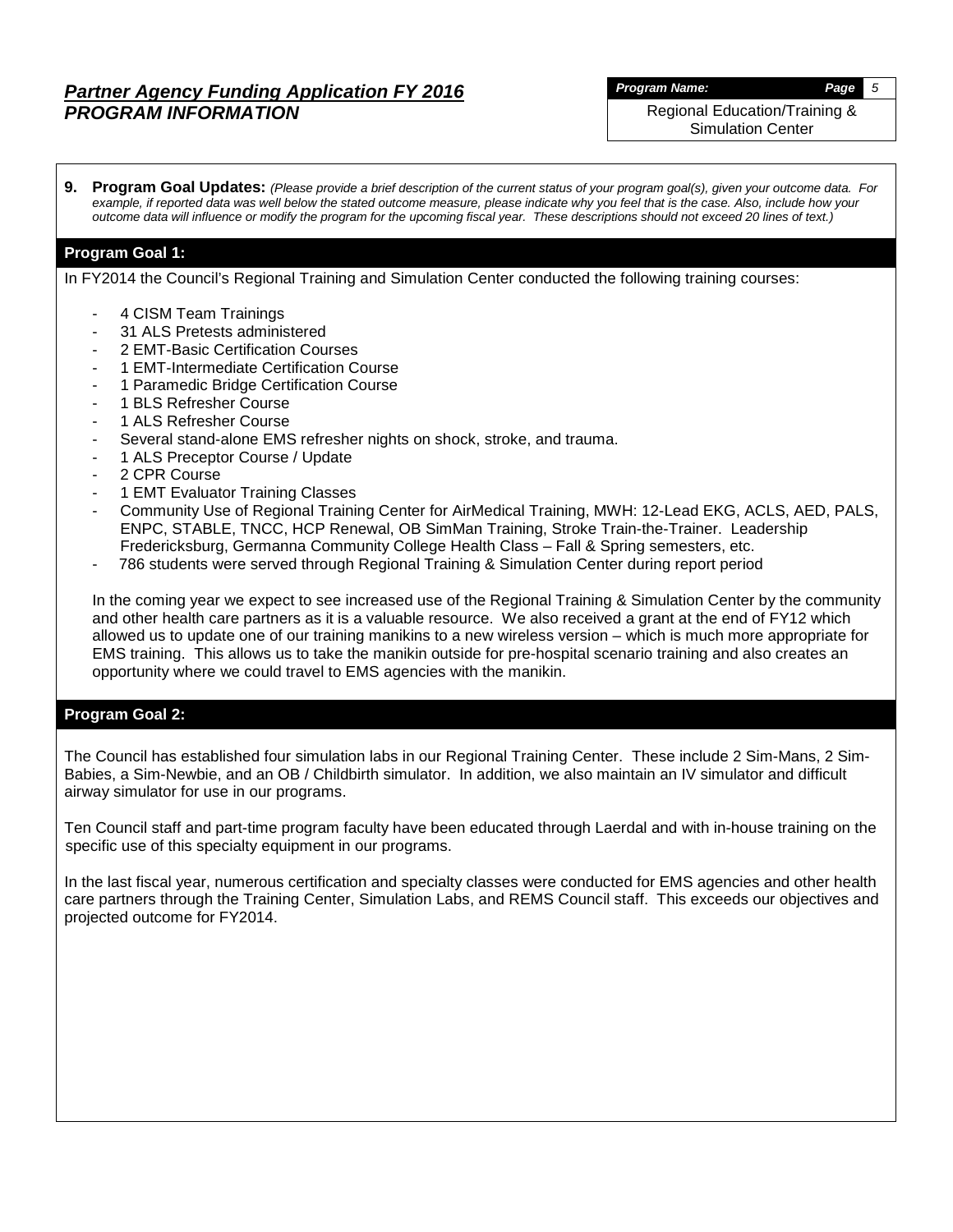*Program Name: Page 5*

Regional Education/Training & Simulation Center

**9. Program Goal Updates:** *(Please provide a brief description of the current status of your program goal(s), given your outcome data. For example, if reported data was well below the stated outcome measure, please indicate why you feel that is the case. Also, include how your outcome data will influence or modify the program for the upcoming fiscal year. These descriptions should not exceed 20 lines of text.)*

## **Program Goal 1:**

In FY2014 the Council's Regional Training and Simulation Center conducted the following training courses:

- 4 CISM Team Trainings
- 31 ALS Pretests administered
- 2 EMT-Basic Certification Courses
- 1 EMT-Intermediate Certification Course
- 1 Paramedic Bridge Certification Course
- 1 BLS Refresher Course
- 1 ALS Refresher Course
- Several stand-alone EMS refresher nights on shock, stroke, and trauma.
- 1 ALS Preceptor Course / Update
- 2 CPR Course
- 1 EMT Evaluator Training Classes
- Community Use of Regional Training Center for AirMedical Training, MWH: 12-Lead EKG, ACLS, AED, PALS, ENPC, STABLE, TNCC, HCP Renewal, OB SimMan Training, Stroke Train-the-Trainer. Leadership Fredericksburg, Germanna Community College Health Class – Fall & Spring semesters, etc.
- 786 students were served through Regional Training & Simulation Center during report period

In the coming year we expect to see increased use of the Regional Training & Simulation Center by the community and other health care partners as it is a valuable resource. We also received a grant at the end of FY12 which allowed us to update one of our training manikins to a new wireless version – which is much more appropriate for EMS training. This allows us to take the manikin outside for pre-hospital scenario training and also creates an opportunity where we could travel to EMS agencies with the manikin.

## **Program Goal 2:**

The Council has established four simulation labs in our Regional Training Center. These include 2 Sim-Mans, 2 Sim-Babies, a Sim-Newbie, and an OB / Childbirth simulator. In addition, we also maintain an IV simulator and difficult airway simulator for use in our programs.

Ten Council staff and part-time program faculty have been educated through Laerdal and with in-house training on the specific use of this specialty equipment in our programs.

In the last fiscal year, numerous certification and specialty classes were conducted for EMS agencies and other health care partners through the Training Center, Simulation Labs, and REMS Council staff. This exceeds our objectives and projected outcome for FY2014.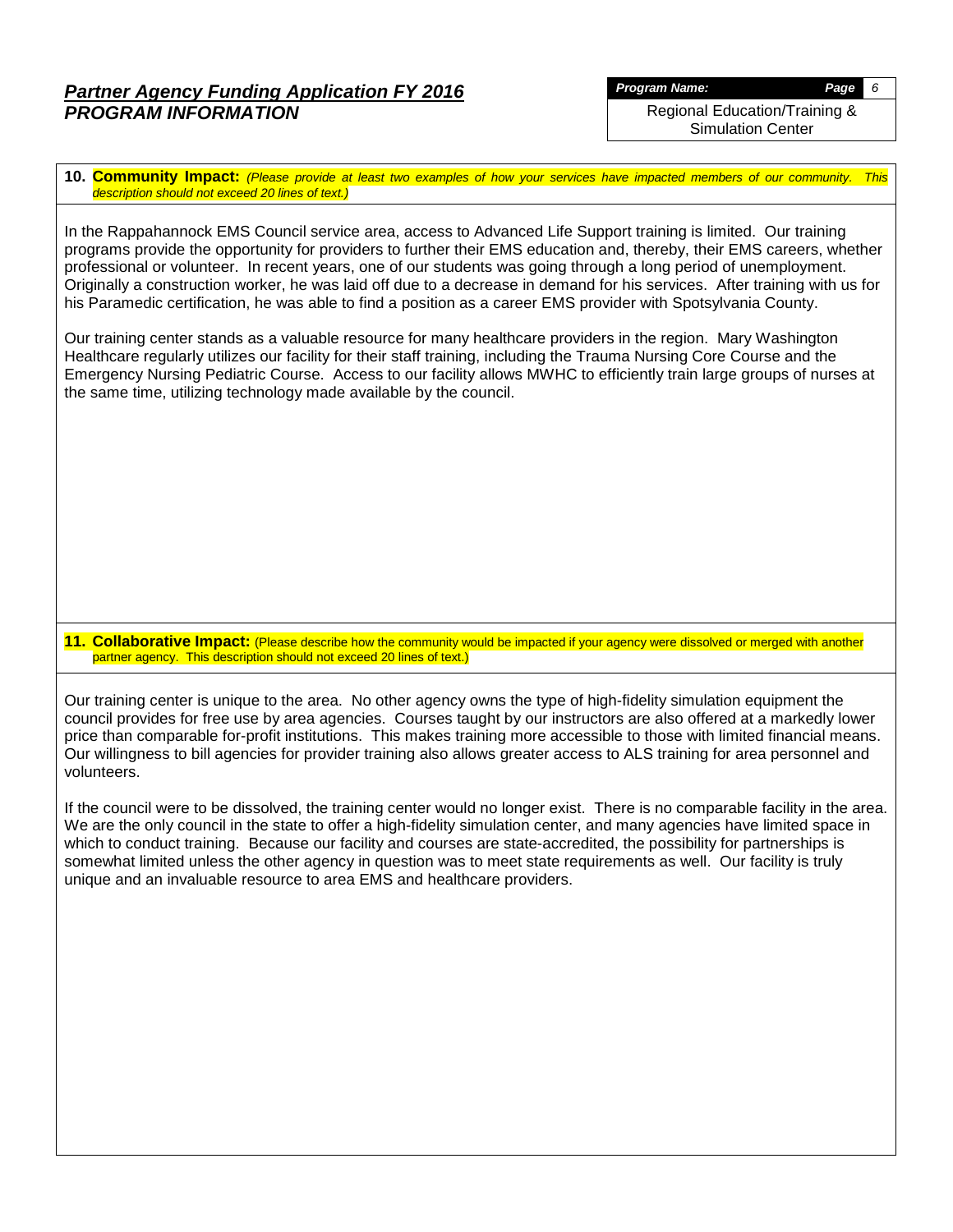*Program Name: Page 6*

Regional Education/Training & Simulation Center

**10. Community Impact:** *(Please provide at least two examples of how your services have impacted members of our community. This description should not exceed 20 lines of text.)*

In the Rappahannock EMS Council service area, access to Advanced Life Support training is limited. Our training programs provide the opportunity for providers to further their EMS education and, thereby, their EMS careers, whether professional or volunteer. In recent years, one of our students was going through a long period of unemployment. Originally a construction worker, he was laid off due to a decrease in demand for his services. After training with us for his Paramedic certification, he was able to find a position as a career EMS provider with Spotsylvania County.

Our training center stands as a valuable resource for many healthcare providers in the region. Mary Washington Healthcare regularly utilizes our facility for their staff training, including the Trauma Nursing Core Course and the Emergency Nursing Pediatric Course. Access to our facility allows MWHC to efficiently train large groups of nurses at the same time, utilizing technology made available by the council.

**11. Collaborative Impact:** (Please describe how the community would be impacted if your agency were dissolved or merged with another partner agency. This description should not exceed 20 lines of text.)

Our training center is unique to the area. No other agency owns the type of high-fidelity simulation equipment the council provides for free use by area agencies. Courses taught by our instructors are also offered at a markedly lower price than comparable for-profit institutions. This makes training more accessible to those with limited financial means. Our willingness to bill agencies for provider training also allows greater access to ALS training for area personnel and volunteers.

If the council were to be dissolved, the training center would no longer exist. There is no comparable facility in the area. We are the only council in the state to offer a high-fidelity simulation center, and many agencies have limited space in which to conduct training. Because our facility and courses are state-accredited, the possibility for partnerships is somewhat limited unless the other agency in question was to meet state requirements as well. Our facility is truly unique and an invaluable resource to area EMS and healthcare providers.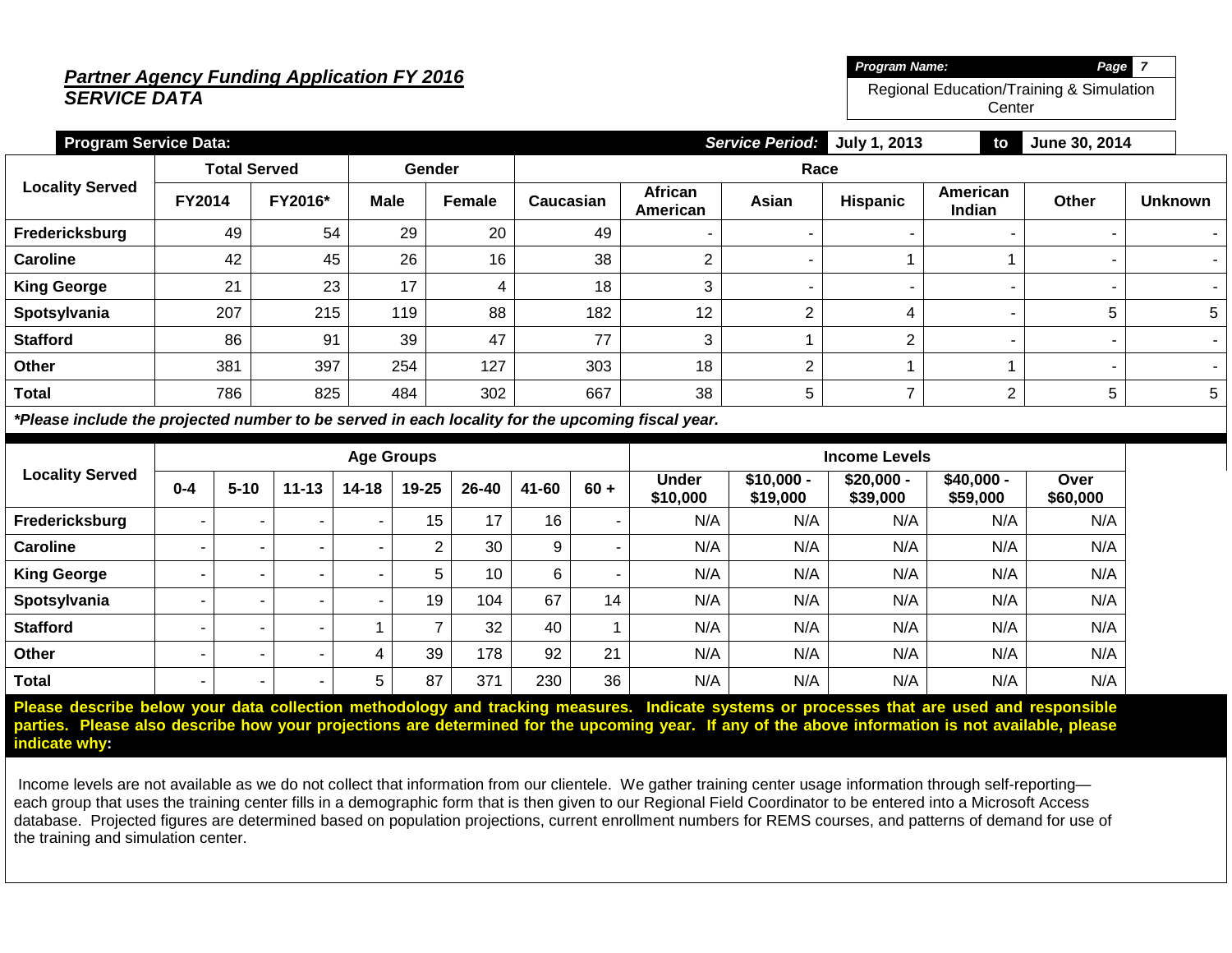# *Partner Agency Funding Application FY 2016 SERVICE DATA*

| Program Name:                            | Page 7 |  |
|------------------------------------------|--------|--|
| Regional Education/Training & Simulation |        |  |

**Center** 

| <b>Program Service Data:</b> |                          | <b>Service Period:</b><br>July 1, 2013<br>June 30, 2014<br>to |             |               |           |                     |       |          |                    |       |                |  |  |
|------------------------------|--------------------------|---------------------------------------------------------------|-------------|---------------|-----------|---------------------|-------|----------|--------------------|-------|----------------|--|--|
|                              | <b>Total Served</b>      |                                                               |             | Gender        | Race      |                     |       |          |                    |       |                |  |  |
| <b>Locality Served</b>       | <b>FY2014</b><br>FY2016* |                                                               | <b>Male</b> | <b>Female</b> | Caucasian | African<br>American | Asian | Hispanic | American<br>Indian | Other | <b>Unknown</b> |  |  |
| Fredericksburg               | 49                       | 54                                                            | 29          | 20            | 49        |                     |       |          |                    |       |                |  |  |
| <b>Caroline</b>              | 42                       | 45                                                            | 26          | 16            | 38        | ⌒                   |       |          |                    |       | $\sim$         |  |  |
| <b>King George</b>           | 21                       | 23                                                            | 17          | 4             | 18        | 3                   |       |          |                    |       |                |  |  |
| Spotsylvania                 | 207                      | 215                                                           | 119         | 88            | 182       | 12                  | C     | 4        |                    | 5     | 5              |  |  |
| <b>Stafford</b>              | 86                       | 91                                                            | 39          | 47            | 77        | 3                   |       |          | -                  |       |                |  |  |
| Other                        | 381                      | 397                                                           | 254         | 127           | 303       | 18                  | ◠     |          |                    |       |                |  |  |
| <b>Total</b>                 | 786                      | 825                                                           | 484         | 302           | 667       | 38                  | 5     |          | C                  | 5     | 5              |  |  |

*\*Please include the projected number to be served in each locality for the upcoming fiscal year.*

|                        | <b>Age Groups</b> |          |           |           |                |           |       |        | <b>Income Levels</b>     |                         |                         |                         |                  |
|------------------------|-------------------|----------|-----------|-----------|----------------|-----------|-------|--------|--------------------------|-------------------------|-------------------------|-------------------------|------------------|
| <b>Locality Served</b> | $0 - 4$           | $5 - 10$ | $11 - 13$ | $14 - 18$ | 19-25          | $26 - 40$ | 41-60 | $60 +$ | <b>Under</b><br>\$10,000 | $$10,000 -$<br>\$19,000 | $$20,000 -$<br>\$39,000 | $$40,000 -$<br>\$59,000 | Over<br>\$60,000 |
| Fredericksburg         | $\sim$            |          | . .       |           | 15             | 17        | 16    | ۰      | N/A                      | N/A                     | N/A                     | N/A                     | N/A              |
| <b>Caroline</b>        |                   |          | . .       | -         | $\overline{2}$ | 30        | 9     |        | N/A                      | N/A                     | N/A                     | N/A                     | N/A              |
| <b>King George</b>     |                   |          | . .       |           | 5              | 10        | 6     | ٠      | N/A                      | N/A                     | N/A                     | N/A                     | N/A              |
| Spotsylvania           |                   |          | . .       |           | 19             | 104       | 67    | 14     | N/A                      | N/A                     | N/A                     | N/A                     | N/A              |
| <b>Stafford</b>        |                   |          |           |           | ⇁              | 32        | 40    |        | N/A                      | N/A                     | N/A                     | N/A                     | N/A              |
| Other                  | ۰.                |          | $\sim$    | 4         | 39             | 178       | 92    | 21     | N/A                      | N/A                     | N/A                     | N/A                     | N/A              |
| <b>Total</b>           | -                 |          | . .       | 5         | 87             | 371       | 230   | 36     | N/A                      | N/A                     | N/A                     | N/A                     | N/A              |

**Please describe below your data collection methodology and tracking measures. Indicate systems or processes that are used and responsible parties. Please also describe how your projections are determined for the upcoming year. If any of the above information is not available, please indicate why:**

Income levels are not available as we do not collect that information from our clientele. We gather training center usage information through self-reporting each group that uses the training center fills in a demographic form that is then given to our Regional Field Coordinator to be entered into a Microsoft Access database. Projected figures are determined based on population projections, current enrollment numbers for REMS courses, and patterns of demand for use of the training and simulation center.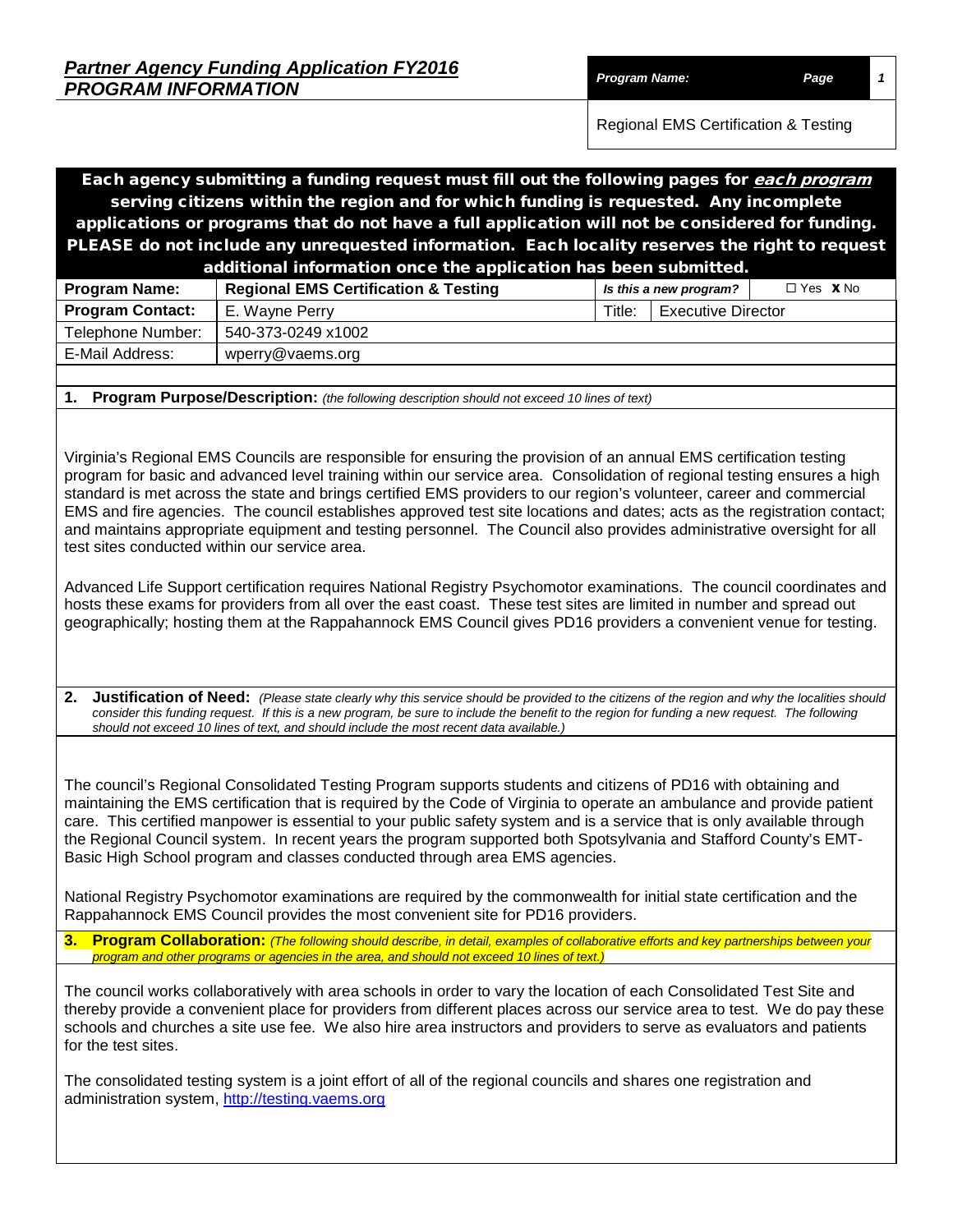| <b>Partner Agency Funding Application FY2016</b> |                      |      |
|--------------------------------------------------|----------------------|------|
| <b>PROGRAM INFORMATION</b>                       | <b>Program Name:</b> | Page |

Each agency submitting a funding request must fill out the following pages for <u>*each program*</u> serving citizens within the region and for which funding is requested. Any incomplete applications or programs that do not have a full application will not be considered for funding. PLEASE do not include any unrequested information. Each locality reserves the right to request

| additional information once the application has been submitted. |                                                 |        |                           |                        |  |  |  |  |  |  |
|-----------------------------------------------------------------|-------------------------------------------------|--------|---------------------------|------------------------|--|--|--|--|--|--|
| <b>Program Name:</b>                                            | <b>Regional EMS Certification &amp; Testing</b> |        | Is this a new program?    | $\Box$ Yes $\bm{X}$ No |  |  |  |  |  |  |
| <b>Program Contact:</b>                                         | E. Wavne Perrv                                  | Title: | <b>Executive Director</b> |                        |  |  |  |  |  |  |
| Telephone Number:                                               | 540-373-0249 x1002                              |        |                           |                        |  |  |  |  |  |  |
| E-Mail Address:                                                 | wperry@vaems.org                                |        |                           |                        |  |  |  |  |  |  |
|                                                                 |                                                 |        |                           |                        |  |  |  |  |  |  |

**1. Program Purpose/Description:** *(the following description should not exceed 10 lines of text)*

Virginia's Regional EMS Councils are responsible for ensuring the provision of an annual EMS certification testing program for basic and advanced level training within our service area. Consolidation of regional testing ensures a high standard is met across the state and brings certified EMS providers to our region's volunteer, career and commercial EMS and fire agencies. The council establishes approved test site locations and dates; acts as the registration contact; and maintains appropriate equipment and testing personnel. The Council also provides administrative oversight for all test sites conducted within our service area.

Advanced Life Support certification requires National Registry Psychomotor examinations. The council coordinates and hosts these exams for providers from all over the east coast. These test sites are limited in number and spread out geographically; hosting them at the Rappahannock EMS Council gives PD16 providers a convenient venue for testing.

**2. Justification of Need:** *(Please state clearly why this service should be provided to the citizens of the region and why the localities should*  consider this funding request. If this is a new program, be sure to include the benefit to the region for funding a new request. The following *should not exceed 10 lines of text, and should include the most recent data available.)*

The council's Regional Consolidated Testing Program supports students and citizens of PD16 with obtaining and maintaining the EMS certification that is required by the Code of Virginia to operate an ambulance and provide patient care. This certified manpower is essential to your public safety system and is a service that is only available through the Regional Council system. In recent years the program supported both Spotsylvania and Stafford County's EMT-Basic High School program and classes conducted through area EMS agencies.

National Registry Psychomotor examinations are required by the commonwealth for initial state certification and the Rappahannock EMS Council provides the most convenient site for PD16 providers.

**3. Program Collaboration:** *(The following should describe, in detail, examples of collaborative efforts and key partnerships between your program and other programs or agencies in the area, and should not exceed 10 lines of text.)*

The council works collaboratively with area schools in order to vary the location of each Consolidated Test Site and thereby provide a convenient place for providers from different places across our service area to test. We do pay these schools and churches a site use fee. We also hire area instructors and providers to serve as evaluators and patients for the test sites.

The consolidated testing system is a joint effort of all of the regional councils and shares one registration and administration system, [http://testing.vaems.org](http://testing.vaems.org/)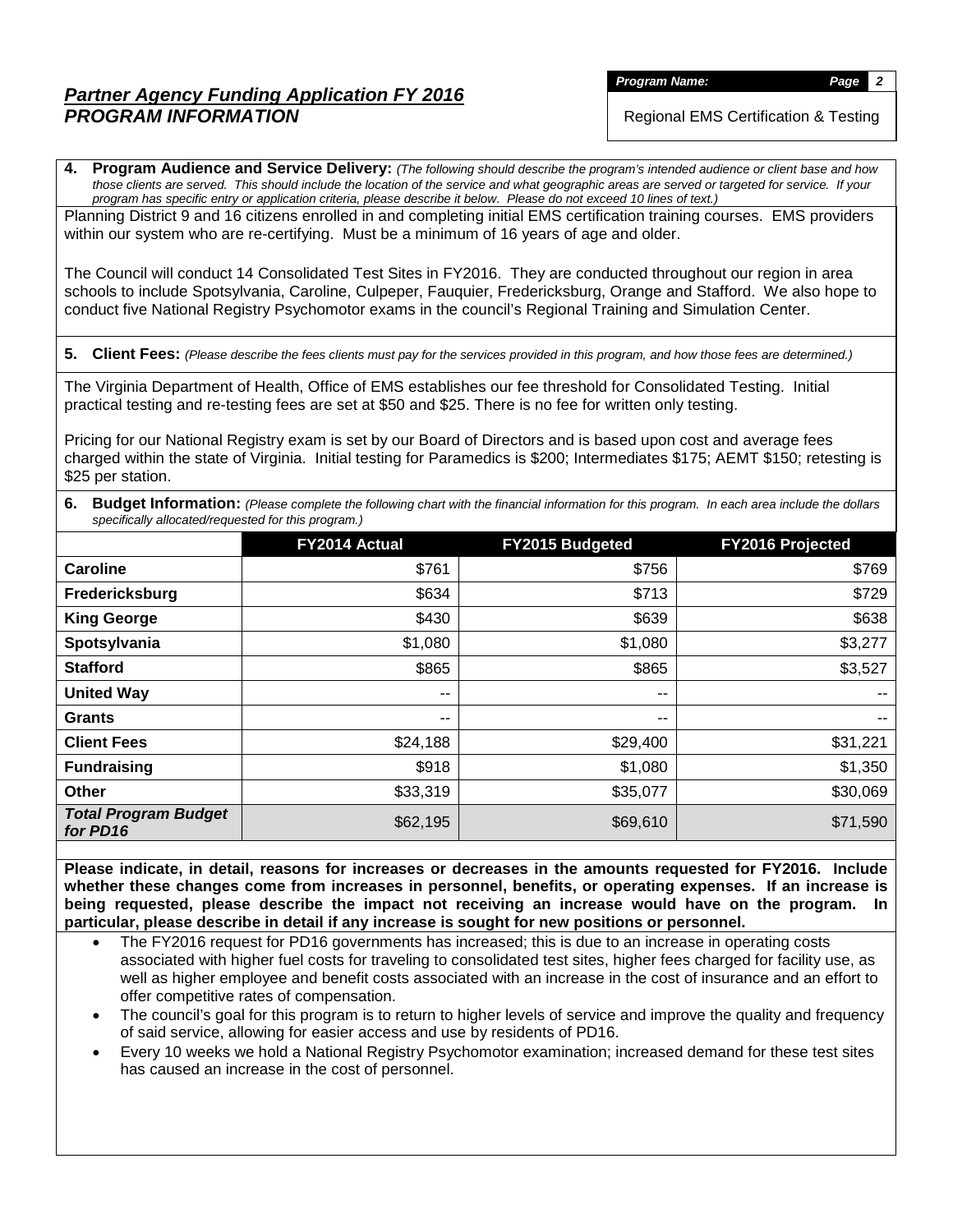*Program Name: Page 2*

Regional EMS Certification & Testing

**4. Program Audience and Service Delivery:** *(The following should describe the program's intended audience or client base and how those clients are served. This should include the location of the service and what geographic areas are served or targeted for service. If your program has specific entry or application criteria, please describe it below. Please do not exceed 10 lines of text.)*

Planning District 9 and 16 citizens enrolled in and completing initial EMS certification training courses. EMS providers within our system who are re-certifying. Must be a minimum of 16 years of age and older.

The Council will conduct 14 Consolidated Test Sites in FY2016. They are conducted throughout our region in area schools to include Spotsylvania, Caroline, Culpeper, Fauquier, Fredericksburg, Orange and Stafford. We also hope to conduct five National Registry Psychomotor exams in the council's Regional Training and Simulation Center.

**5. Client Fees:** *(Please describe the fees clients must pay for the services provided in this program, and how those fees are determined.)*

The Virginia Department of Health, Office of EMS establishes our fee threshold for Consolidated Testing. Initial practical testing and re-testing fees are set at \$50 and \$25. There is no fee for written only testing.

Pricing for our National Registry exam is set by our Board of Directors and is based upon cost and average fees charged within the state of Virginia. Initial testing for Paramedics is \$200; Intermediates \$175; AEMT \$150; retesting is \$25 per station.

**6. Budget Information:** *(Please complete the following chart with the financial information for this program. In each area include the dollars specifically allocated/requested for this program.)*

|                                         | FY2014 Actual | FY2015 Budgeted | FY2016 Projected |
|-----------------------------------------|---------------|-----------------|------------------|
| Caroline                                | \$761         | \$756           | \$769            |
| Fredericksburg                          | \$634         | \$713           | \$729            |
| <b>King George</b>                      | \$430         | \$639           | \$638            |
| Spotsylvania                            | \$1,080       | \$1,080         | \$3,277          |
| <b>Stafford</b>                         | \$865         | \$865           | \$3,527          |
| <b>United Way</b>                       | $- -$         | --              | --               |
| <b>Grants</b>                           | $ -$          | --              | $- -$            |
| <b>Client Fees</b>                      | \$24,188      | \$29,400        | \$31,221         |
| <b>Fundraising</b>                      | \$918         | \$1,080         | \$1,350          |
| <b>Other</b>                            | \$33,319      | \$35,077        | \$30,069         |
| <b>Total Program Budget</b><br>for PD16 | \$62,195      | \$69,610        | \$71,590         |

**Please indicate, in detail, reasons for increases or decreases in the amounts requested for FY2016. Include whether these changes come from increases in personnel, benefits, or operating expenses. If an increase is being requested, please describe the impact not receiving an increase would have on the program. In particular, please describe in detail if any increase is sought for new positions or personnel.**

- The FY2016 request for PD16 governments has increased; this is due to an increase in operating costs associated with higher fuel costs for traveling to consolidated test sites, higher fees charged for facility use, as well as higher employee and benefit costs associated with an increase in the cost of insurance and an effort to offer competitive rates of compensation.
- The council's goal for this program is to return to higher levels of service and improve the quality and frequency of said service, allowing for easier access and use by residents of PD16.
- Every 10 weeks we hold a National Registry Psychomotor examination; increased demand for these test sites has caused an increase in the cost of personnel.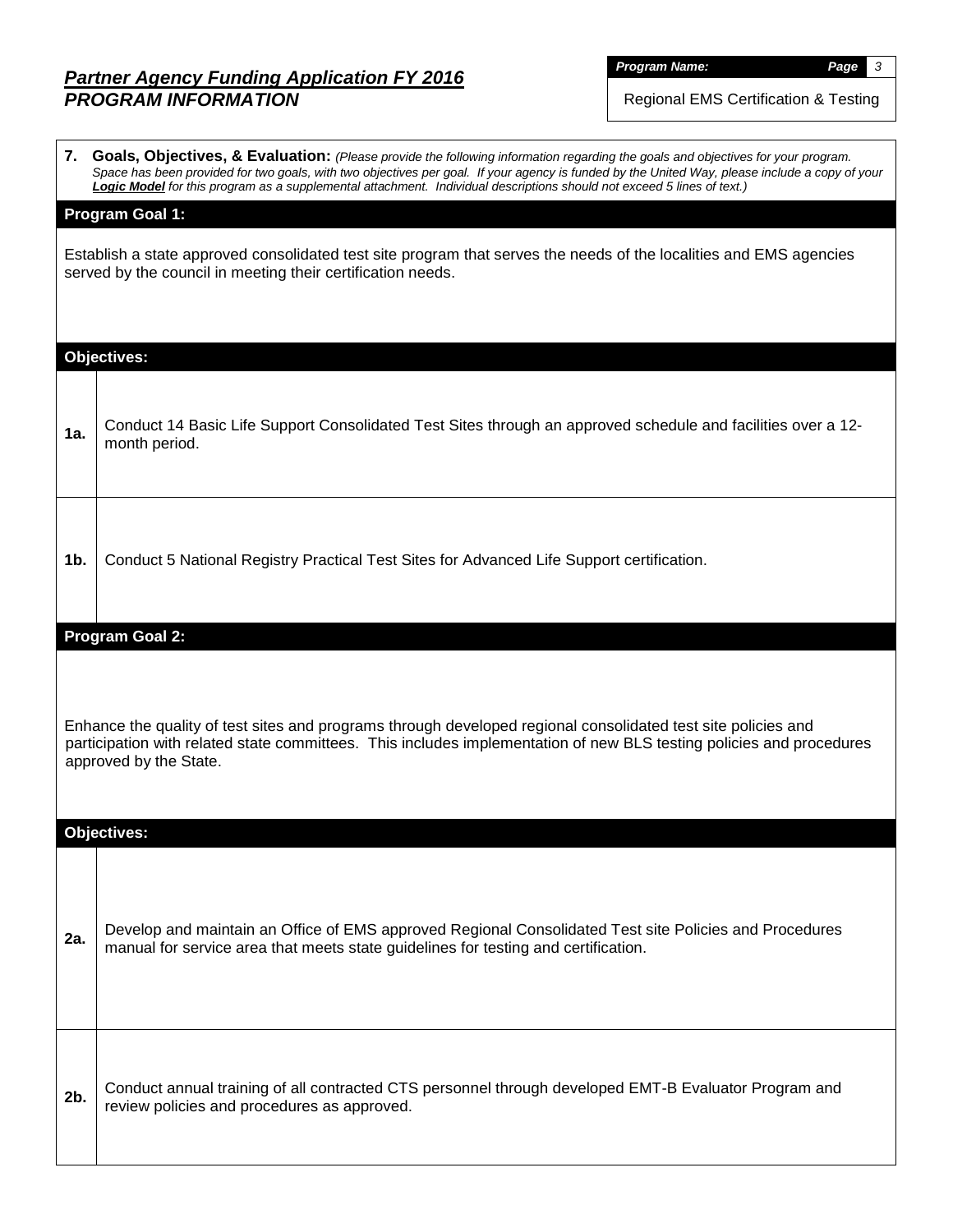*Program Name: Page 3*

Regional EMS Certification & Testing

|                                                                                                                                                                                                                                                                 | 7. Goals, Objectives, & Evaluation: (Please provide the following information regarding the goals and objectives for your program.<br>Space has been provided for two goals, with two objectives per goal. If your agency is funded by the United Way, please include a copy of your<br>Logic Model for this program as a supplemental attachment. Individual descriptions should not exceed 5 lines of text.) |  |  |  |  |  |  |  |  |  |
|-----------------------------------------------------------------------------------------------------------------------------------------------------------------------------------------------------------------------------------------------------------------|----------------------------------------------------------------------------------------------------------------------------------------------------------------------------------------------------------------------------------------------------------------------------------------------------------------------------------------------------------------------------------------------------------------|--|--|--|--|--|--|--|--|--|
| <b>Program Goal 1:</b>                                                                                                                                                                                                                                          |                                                                                                                                                                                                                                                                                                                                                                                                                |  |  |  |  |  |  |  |  |  |
| Establish a state approved consolidated test site program that serves the needs of the localities and EMS agencies<br>served by the council in meeting their certification needs.                                                                               |                                                                                                                                                                                                                                                                                                                                                                                                                |  |  |  |  |  |  |  |  |  |
| <b>Objectives:</b>                                                                                                                                                                                                                                              |                                                                                                                                                                                                                                                                                                                                                                                                                |  |  |  |  |  |  |  |  |  |
| 1a.                                                                                                                                                                                                                                                             | Conduct 14 Basic Life Support Consolidated Test Sites through an approved schedule and facilities over a 12-<br>month period.                                                                                                                                                                                                                                                                                  |  |  |  |  |  |  |  |  |  |
| 1 <sub>b</sub>                                                                                                                                                                                                                                                  | Conduct 5 National Registry Practical Test Sites for Advanced Life Support certification.                                                                                                                                                                                                                                                                                                                      |  |  |  |  |  |  |  |  |  |
| <b>Program Goal 2:</b>                                                                                                                                                                                                                                          |                                                                                                                                                                                                                                                                                                                                                                                                                |  |  |  |  |  |  |  |  |  |
| Enhance the quality of test sites and programs through developed regional consolidated test site policies and<br>participation with related state committees. This includes implementation of new BLS testing policies and procedures<br>approved by the State. |                                                                                                                                                                                                                                                                                                                                                                                                                |  |  |  |  |  |  |  |  |  |
|                                                                                                                                                                                                                                                                 | <b>Objectives:</b>                                                                                                                                                                                                                                                                                                                                                                                             |  |  |  |  |  |  |  |  |  |
| 2a.                                                                                                                                                                                                                                                             | Develop and maintain an Office of EMS approved Regional Consolidated Test site Policies and Procedures<br>manual for service area that meets state guidelines for testing and certification.                                                                                                                                                                                                                   |  |  |  |  |  |  |  |  |  |
| 2b.                                                                                                                                                                                                                                                             | Conduct annual training of all contracted CTS personnel through developed EMT-B Evaluator Program and<br>review policies and procedures as approved.                                                                                                                                                                                                                                                           |  |  |  |  |  |  |  |  |  |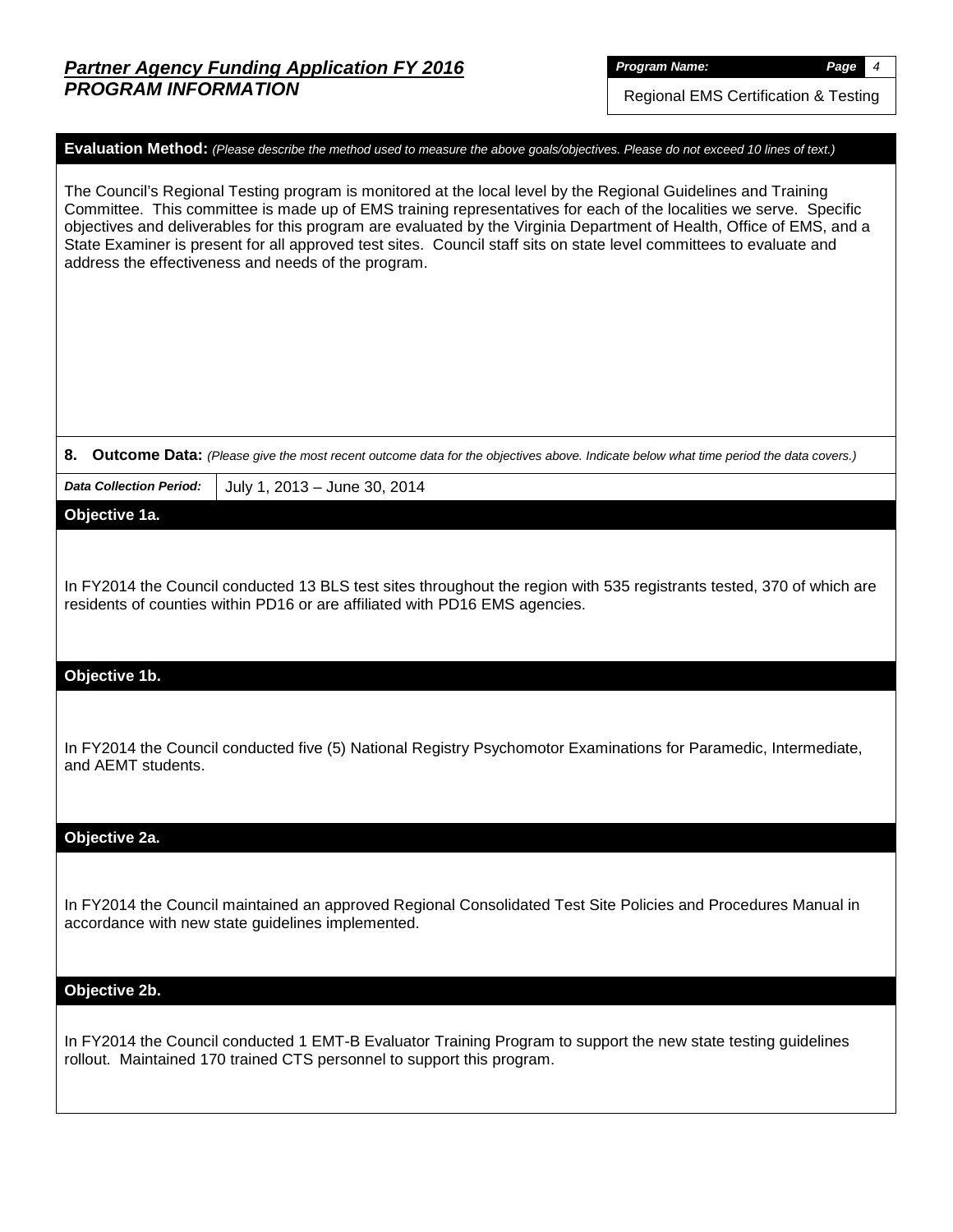Regional EMS Certification & Testing

# **Evaluation Method:** *(Please describe the method used to measure the above goals/objectives. Please do not exceed 10 lines of text.)* The Council's Regional Testing program is monitored at the local level by the Regional Guidelines and Training Committee. This committee is made up of EMS training representatives for each of the localities we serve. Specific objectives and deliverables for this program are evaluated by the Virginia Department of Health, Office of EMS, and a State Examiner is present for all approved test sites. Council staff sits on state level committees to evaluate and

**8. Outcome Data:** *(Please give the most recent outcome data for the objectives above. Indicate below what time period the data covers.)*

*Data Collection Period:* July 1, 2013 – June 30, 2014

address the effectiveness and needs of the program.

**Objective 1a.**

In FY2014 the Council conducted 13 BLS test sites throughout the region with 535 registrants tested, 370 of which are residents of counties within PD16 or are affiliated with PD16 EMS agencies.

### **Objective 1b.**

In FY2014 the Council conducted five (5) National Registry Psychomotor Examinations for Paramedic, Intermediate, and AEMT students.

#### **Objective 2a.**

In FY2014 the Council maintained an approved Regional Consolidated Test Site Policies and Procedures Manual in accordance with new state guidelines implemented.

### **Objective 2b.**

In FY2014 the Council conducted 1 EMT-B Evaluator Training Program to support the new state testing guidelines rollout. Maintained 170 trained CTS personnel to support this program.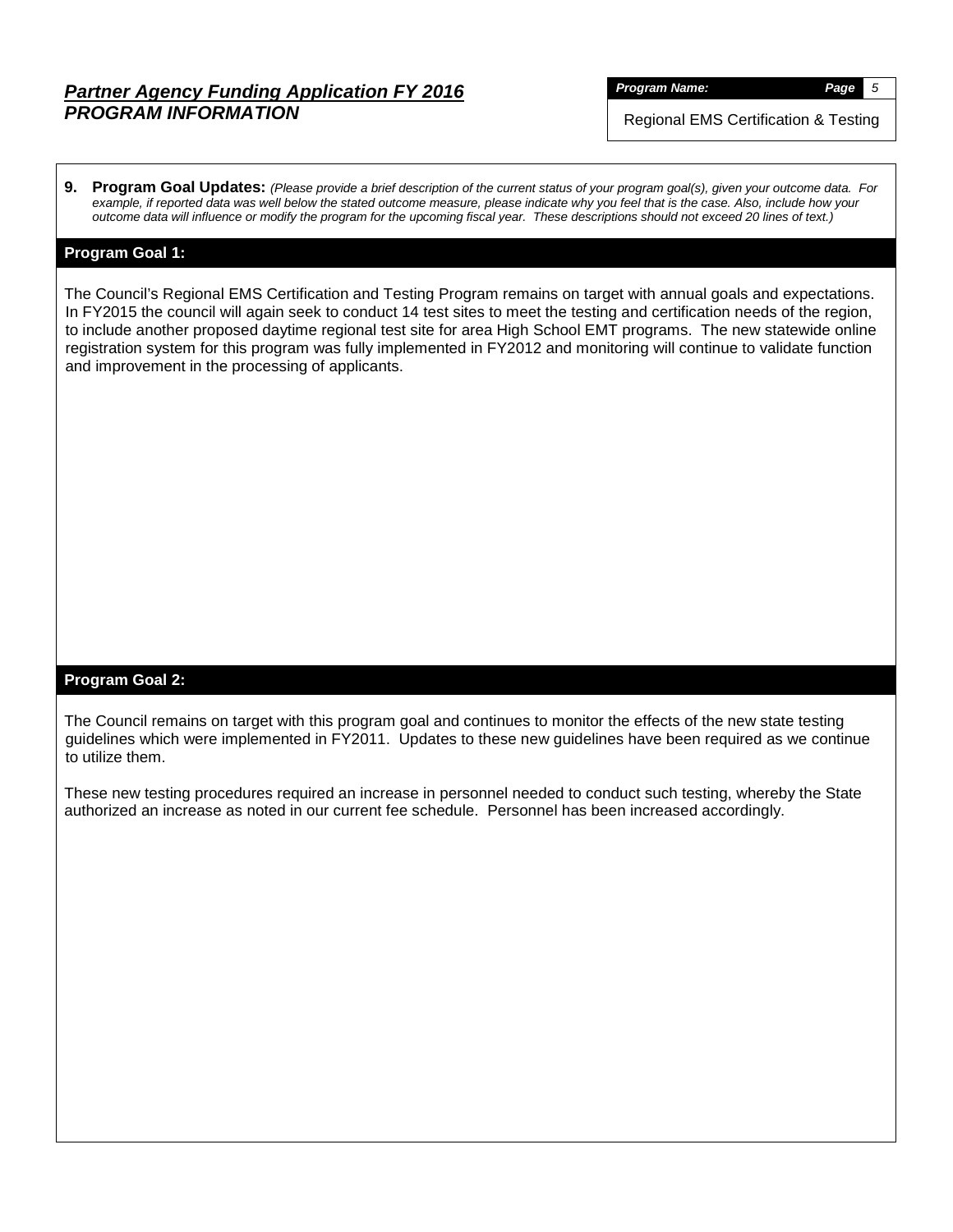*Program Name: Page 5*

Regional EMS Certification & Testing

**9. Program Goal Updates:** *(Please provide a brief description of the current status of your program goal(s), given your outcome data. For example, if reported data was well below the stated outcome measure, please indicate why you feel that is the case. Also, include how your outcome data will influence or modify the program for the upcoming fiscal year. These descriptions should not exceed 20 lines of text.)*

## **Program Goal 1:**

The Council's Regional EMS Certification and Testing Program remains on target with annual goals and expectations. In FY2015 the council will again seek to conduct 14 test sites to meet the testing and certification needs of the region, to include another proposed daytime regional test site for area High School EMT programs. The new statewide online registration system for this program was fully implemented in FY2012 and monitoring will continue to validate function and improvement in the processing of applicants.

## **Program Goal 2:**

The Council remains on target with this program goal and continues to monitor the effects of the new state testing guidelines which were implemented in FY2011. Updates to these new guidelines have been required as we continue to utilize them.

These new testing procedures required an increase in personnel needed to conduct such testing, whereby the State authorized an increase as noted in our current fee schedule. Personnel has been increased accordingly.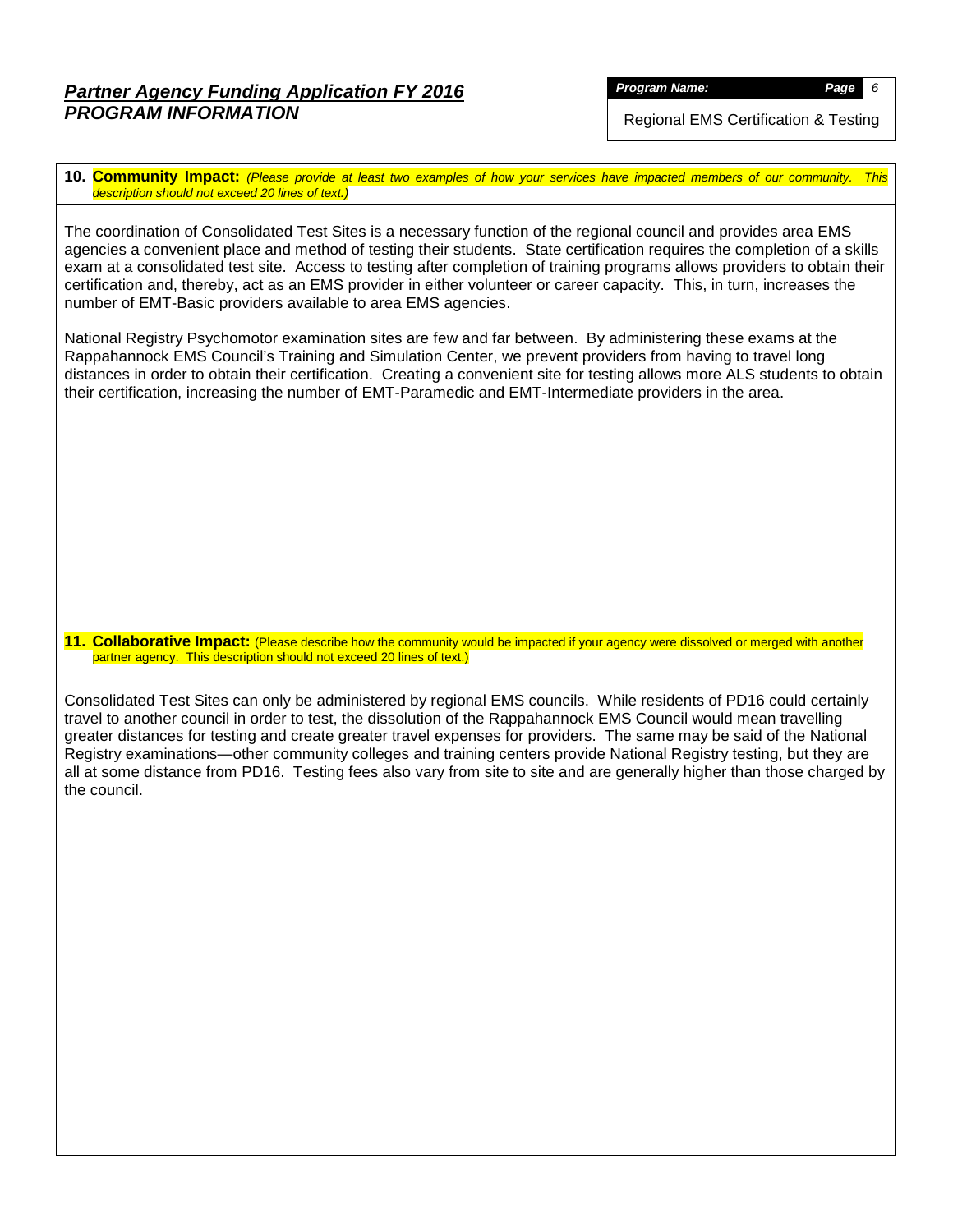*Program Name: Page 6*

Regional EMS Certification & Testing

**10. Community Impact:** *(Please provide at least two examples of how your services have impacted members of our community. This description should not exceed 20 lines of text.)*

The coordination of Consolidated Test Sites is a necessary function of the regional council and provides area EMS agencies a convenient place and method of testing their students. State certification requires the completion of a skills exam at a consolidated test site. Access to testing after completion of training programs allows providers to obtain their certification and, thereby, act as an EMS provider in either volunteer or career capacity. This, in turn, increases the number of EMT-Basic providers available to area EMS agencies.

National Registry Psychomotor examination sites are few and far between. By administering these exams at the Rappahannock EMS Council's Training and Simulation Center, we prevent providers from having to travel long distances in order to obtain their certification. Creating a convenient site for testing allows more ALS students to obtain their certification, increasing the number of EMT-Paramedic and EMT-Intermediate providers in the area.

**11. Collaborative Impact:** (Please describe how the community would be impacted if your agency were dissolved or merged with another partner agency. This description should not exceed 20 lines of text.)

Consolidated Test Sites can only be administered by regional EMS councils. While residents of PD16 could certainly travel to another council in order to test, the dissolution of the Rappahannock EMS Council would mean travelling greater distances for testing and create greater travel expenses for providers. The same may be said of the National Registry examinations—other community colleges and training centers provide National Registry testing, but they are all at some distance from PD16. Testing fees also vary from site to site and are generally higher than those charged by the council.